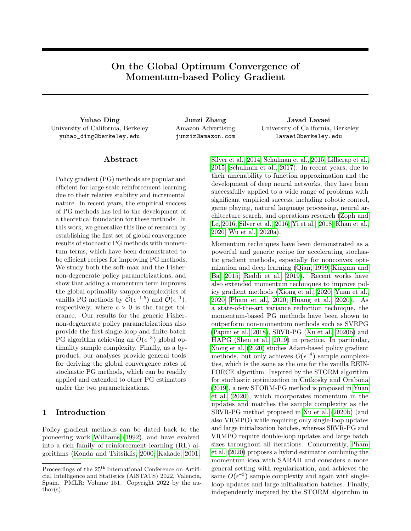# On the Global Optimum Convergence of Momentum-based Policy Gradient

Yuhao Ding Junzi Zhang Javad Lavaei University of California, Berkeley yuhao\_ding@berkeley.edu

Amazon Advertising junziz@amazon.com

University of California, Berkeley lavaei@berkeley.edu

## Abstract

Policy gradient (PG) methods are popular and efficient for large-scale reinforcement learning due to their relative stability and incremental nature. In recent years, the empirical success of PG methods has led to the development of a theoretical foundation for these methods. In this work, we generalize this line of research by establishing the first set of global convergence results of stochastic PG methods with momentum terms, which have been demonstrated to be efficient recipes for improving PG methods. We study both the soft-max and the Fishernon-degenerate policy parametrizations, and show that adding a momentum term improves the global optimality sample complexities of vanilla PG methods by  $\tilde{\mathcal{O}}(\epsilon^{-1.5})$  and  $\tilde{\mathcal{O}}(\epsilon^{-1}),$ respectively, where  $\epsilon > 0$  is the target tolerance. Our results for the generic Fishernon-degenerate policy parametrizations also provide the first single-loop and finite-batch PG algorithm achieving an  $\tilde{O}(\epsilon^{-3})$  global optimality sample complexity. Finally, as a byproduct, our analyses provide general tools for deriving the global convergence rates of stochastic PG methods, which can be readily applied and extended to other PG estimators under the two parametrizations.

## <span id="page-0-0"></span>1 Introduction

Policy gradient methods can be dated back to the pioneering work [Williams](#page-9-0) [\(1992\)](#page-9-0), and have evolved into a rich family of reinforcement learning (RL) algorithms [\(Konda and Tsitsiklis, 2000;](#page-8-0) [Kakade, 2001;](#page-8-1) [Silver et al., 2014;](#page-9-1) [Schulman et al., 2015;](#page-9-2) [Lillicrap et al.,](#page-8-2) [2015;](#page-8-2) [Schulman et al., 2017\)](#page-9-3). In recent years, due to their amenability to function approximation and the development of deep neural networks, they have been successfully applied to a wide range of problems with significant empirical success, including robotic control, game playing, natural language processing, neural architecture search, and operations research [\(Zoph and](#page-10-0) [Le, 2016;](#page-10-0) [Silver et al., 2016;](#page-9-4) [Yi et al., 2018;](#page-10-1) [Khan et al.,](#page-8-3) [2020;](#page-8-3) [Wu et al., 2020a\)](#page-9-5).

Momentum techniques have been demonstrated as a powerful and generic recipe for accelerating stochastic gradient methods, especially for nonconvex optimization and deep learning [\(Qian, 1999;](#page-9-6) [Kingma and](#page-8-4) [Ba, 2015;](#page-8-4) [Reddi et al., 2019\)](#page-9-7). Recent works have also extended momentum techniques to improve policy gradient methods [\(Xiong et al., 2020;](#page-9-8) [Yuan et al.,](#page-10-2) [2020;](#page-10-2) [Pham et al., 2020;](#page-9-9) [Huang et al., 2020\)](#page-8-5). As a state-of-the-art variance reduction technique, the momentum-based PG methods have been shown to outperform non-momentum methods such as SVRPG [\(Papini et al., 2018\)](#page-9-10), SRVR-PG [\(Xu et al., 2020b\)](#page-10-3) and HAPG [\(Shen et al., 2019\)](#page-9-11) in practice. In particular, [Xiong et al.](#page-9-8) [\(2020\)](#page-9-8) studies Adam-based policy gradient methods, but only achieves  $O(\epsilon^{-4})$  sample complexities, which is the same as the one for the vanilla REIN-FORCE algorithm. Inspired by the STORM algorithm for stochastic optimization in [Cutkosky and Orabona](#page-8-6) [\(2019\)](#page-8-6), a new STORM-PG method is proposed in [Yuan](#page-10-2) [et al.](#page-10-2) [\(2020\)](#page-10-2), which incorporates momentum in the updates and matches the sample complexity as the SRVR-PG method proposed in [Xu et al.](#page-10-3) [\(2020b\)](#page-10-3) (and also VRMPO) while requiring only single-loop updates and large initialization batches, whereas SRVR-PG and VRMPO require double-loop updates and large batch sizes throughout all iterations. Concurrently, [Pham](#page-9-9) [et al.](#page-9-9) [\(2020\)](#page-9-9) proposes a hybrid estimator combining the momentum idea with SARAH and considers a more general setting with regularization, and achieves the same  $O(\epsilon^{-3})$  sample complexity and again with singleloop updates and large initialization batches. Finally, independently inspired by the STORM algorithm in

Proceedings of the  $25^{\text{th}}$  International Conference on Artificial Intelligence and Statistics (AISTATS) 2022, Valencia, Spain. PMLR: Volume 151. Copyright 2022 by the au- $\text{thor}(s)$ .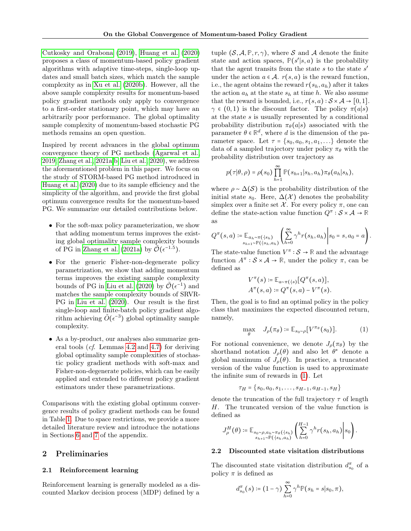[Cutkosky and Orabona](#page-8-6) [\(2019\)](#page-8-6), [Huang et al.](#page-8-5) [\(2020\)](#page-8-5) proposes a class of momentum-based policy gradient algorithms with adaptive time-steps, single-loop updates and small batch sizes, which match the sample complexity as in [Xu et al.](#page-10-3) [\(2020b\)](#page-10-3). However, all the above sample complexity results for momentum-based policy gradient methods only apply to convergence to a first-order stationary point, which may have an arbitrarily poor performance. The global optimality sample complexity of momentum-based stochastic PG methods remains an open question.

Inspired by recent advances in the global optimum convergence theory of PG methods [\(Agarwal et al.,](#page-8-7) [2019;](#page-8-7) [Zhang et al., 2021a,](#page-10-4)[b;](#page-10-5) [Liu et al., 2020\)](#page-9-12), we address the aforementioned problem in this paper. We focus on the study of STORM-based PG method introduced in [Huang et al.](#page-8-5) [\(2020\)](#page-8-5) due to its sample efficiency and the simplicity of the algorithm, and provide the first global optimum convergence results for the momentum-based PG. We summarize our detailed contributions below.

- For the soft-max policy parameterization, we show that adding momentum terms improves the existing global optimality sample complexity bounds of PG in [Zhang et al.](#page-10-4) [\(2021a\)](#page-10-4) by  $\tilde{\mathcal{O}}(\epsilon^{-1.5})$ .
- For the generic Fisher-non-degenerate policy parametrization, we show that adding momentum terms improves the existing sample complexity bounds of PG in [Liu et al.](#page-9-12) [\(2020\)](#page-9-12) by  $\tilde{\mathcal{O}}(\epsilon^{-1})$  and matches the sample complexity bounds of SRVR-PG in [Liu et al.](#page-9-12) [\(2020\)](#page-9-12). Our result is the first single-loop and finite-batch policy gradient algorithm achieving  $\tilde{O}(\epsilon^{-3})$  global optimality sample complexity.
- As a by-product, our analyses also summarize general tools (cf. Lemmas [4.2](#page-5-0) and [4.7\)](#page-7-0) for deriving global optimality sample complexities of stochastic policy gradient methods with soft-max and Fisher-non-degenerate policies, which can be easily applied and extended to different policy gradient estimators under these parametrizations.

Comparisons with the existing global optimum convergence results of policy gradient methods can be found in Table [1.](#page-0-0) Due to space restrictions, we provide a more detailed literature review and introduce the notations in Sections [6](#page-11-0) and [7](#page-12-0) of the appendix.

# 2 Preliminaries

#### 2.1 Reinforcement learning

Reinforcement learning is generally modeled as a discounted Markov decision process (MDP) defined by a tuple  $(S, \mathcal{A}, \mathbb{P}, r, \gamma)$ , where S and A denote the finite state and action spaces,  $\mathbb{P}(s'|s,a)$  is the probability that the agent transits from the state  $s$  to the state  $s'$ under the action  $a \in \mathcal{A}$ .  $r(s, a)$  is the reward function, i.e., the agent obtains the reward  $r(s_h, a_h)$  after it takes the action  $a_h$  at the state  $s_h$  at time h. We also assume that the reward is bounded, i.e.,  $r(s, a) : S \times A \rightarrow [0, 1].$  $\gamma \in (0,1)$  is the discount factor. The policy  $\pi(a|s)$ at the state  $s$  is usually represented by a conditional probability distribution  $\pi_{\theta}(a|s)$  associated with the parameter  $\theta \in \mathbb{R}^d$ , where d is the dimension of the parameter space. Let  $\tau = \{s_0, a_0, s_1, a_1, \ldots\}$  denote the data of a sampled trajectory under policy  $\pi_{\theta}$  with the probability distribution over trajectory as

$$
p(\tau | \theta, \rho) = \rho(s_0) \prod_{h=1}^{\infty} \mathbb{P}(s_{h+1} | s_h, a_h) \pi_{\theta}(a_h | s_h),
$$

where  $\rho \sim \Delta(\mathcal{S})$  is the probability distribution of the initial state  $s_0$ . Here,  $\Delta(\mathcal{X})$  denotes the probability simplex over a finite set  $\mathcal X$ . For every policy  $\pi$ , one can define the state-action value function  $Q^{\pi} : \mathcal{S} \times \mathcal{A} \to \mathbb{R}$ as

$$
Q^{\pi}(s, a) \coloneqq \mathbb{E}_{a_h \sim \pi(\cdot|s_h)} \left( \sum_{h=0}^{\infty} \gamma^h r(s_h, a_h) \middle| s_0 = s, a_0 = a \right).
$$

The state-value function  $V^{\pi} : \mathcal{S} \to \mathbb{R}$  and the advantage function  $A^{\pi}: \mathcal{S} \times \mathcal{A} \to \mathbb{R}$ , under the policy  $\pi$ , can be defined as

$$
V^{\pi}(s) := \mathbb{E}_{a \sim \pi(\cdot|s)}[Q^{\pi}(s, a)],
$$
  

$$
A^{\pi}(s, a) := Q^{\pi}(s, a) - V^{\pi}(s).
$$

Then, the goal is to find an optimal policy in the policy class that maximizes the expected discounted return, namely,

<span id="page-1-0"></span>
$$
\max_{\theta} \quad J_{\rho}(\pi_{\theta}) \coloneqq \mathbb{E}_{s_0 \sim \rho} [V^{\pi_{\theta}}(s_0)]. \tag{1}
$$

For notional convenience, we denote  $J_\rho(\pi_\theta)$  by the shorthand notation  $J_{\rho}(\theta)$  and also let  $\theta^*$  denote a global maximum of  $J_{\rho}(\theta)$ . In practice, a truncated version of the value function is used to approximate the infinite sum of rewards in [\(1\)](#page-1-0). Let

$$
\tau_H = \{s_0, a_0, s_1, \dots, s_{H-1}, a_{H-1}, s_H\}
$$

denote the truncation of the full trajectory  $\tau$  of length H. The truncated version of the value function is defined as

$$
J_{\rho}^H(\theta) \coloneqq \mathbb{E}_{\substack{s_0 \sim \rho, a_h \sim \pi_{\theta}(\cdot | s_h) \\ s_{h+1} \sim \mathbb{P}(\cdot | s_h, a_h)}} \left( \sum_{h=0}^{H-1} \gamma^h r(s_h, a_h) \middle| s_0 \right).
$$

#### 2.2 Discounted state visitation distributions

The discounted state visitation distribution  $d_{s_0}^{\pi}$  of a policy  $\pi$  is defined as

$$
d_{s_0}^{\pi}(s) \coloneqq (1 - \gamma) \sum_{h=0}^{\infty} \gamma^h \mathbb{P}(s_h = s | s_0, \pi),
$$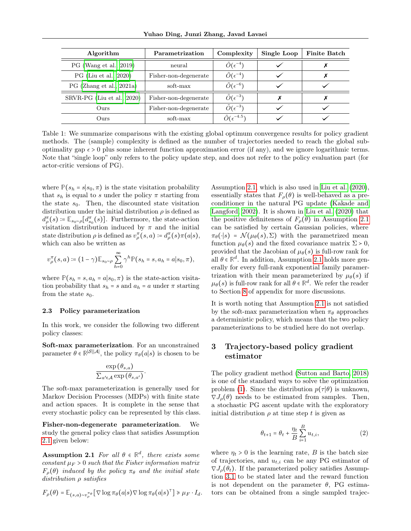Yuhao Ding, Junzi Zhang, Javad Lavaei

| Algorithm                  | Parametrization       | Complexity                   | Single Loop | <b>Finite Batch</b> |
|----------------------------|-----------------------|------------------------------|-------------|---------------------|
| PG (Wang et al., 2019)     | neural                | $\tilde{O}(\epsilon^{-4})$   |             |                     |
| PG (Liu et al., 2020)      | Fisher-non-degenerate | $\tilde{O}(\epsilon^{-4})$   |             |                     |
| PG (Zhang et al., 2021a)   | soft-max              | $\tilde{O}(\epsilon^{-6})$   |             |                     |
| SRVR-PG (Liu et al., 2020) | Fisher-non-degenerate | $\tilde{O}(\epsilon^{-3})$   |             |                     |
| Ours.                      | Fisher-non-degenerate | $\tilde{O}(\epsilon^{-3})$   |             |                     |
| Ours                       | soft-max              | $\tilde{O}(\epsilon^{-4.5})$ |             |                     |

Table 1: We summarize comparisons with the existing global optimum convergence results for policy gradient methods. The (sample) complexity is defined as the number of trajectories needed to reach the global suboptimality gap  $\epsilon > 0$  plus some inherent function approximation error (if any), and we ignore logarithmic terms. Note that "single loop" only refers to the policy update step, and does not refer to the policy evaluation part (for actor-critic versions of PG).

where  $\mathbb{P}(s_h = s | s_0, \pi)$  is the state visitation probability that  $s_h$  is equal to s under the policy  $\pi$  starting from the state  $s_0$ . Then, the discounted state visitation distribution under the initial distribution  $\rho$  is defined as  $d_{\rho}^{\pi}(s) \coloneqq \mathbb{E}_{s_0 \sim \rho}[d_{s_0}^{\pi}(s)].$  Furthermore, the state-action visitation distribution induced by  $\pi$  and the initial state distribution  $\rho$  is defined as  $v_{\rho}^{\pi}(s, a) \coloneqq d_{\rho}^{\pi}(s) \pi(a|s),$ which can also be written as

$$
v_{\rho}^{\pi}(s,a) \coloneqq (1-\gamma) \mathbb{E}_{s_0 \sim \rho} \sum_{h=0}^{\infty} \gamma^h \mathbb{P}(s_h = s, a_h = a | s_0, \pi),
$$

where  $\mathbb{P}(s_h = s, a_h = a | s_0, \pi)$  is the state-action visitation probability that  $s_h = s$  and  $a_h = a$  under  $\pi$  starting from the state  $s_0$ .

#### 2.3 Policy parameterization

In this work, we consider the following two different policy classes:

Soft-max parameterization. For an unconstrained parameter  $\theta \in \mathbb{R}^{|\mathcal{S}||\mathcal{A}|}$ , the policy  $\pi_{\theta}(a|s)$  is chosen to be

$$
\frac{\exp(\theta_{s,a})}{\sum_{a' \in \mathcal{A}} \exp(\theta_{s,a'})}
$$

.

The soft-max parameterization is generally used for Markov Decision Processes (MDPs) with finite state and action spaces. It is complete in the sense that every stochastic policy can be represented by this class.

<span id="page-2-0"></span>Fisher-non-degenerate parameterization. We study the general policy class that satisfies Assumption [2.1](#page-2-0) given below:

**Assumption 2.1** For all  $\theta \in \mathbb{R}^d$ , there exists some constant  $\mu_F > 0$  such that the Fisher information matrix  $F_{\rho}(\theta)$  induced by the policy  $\pi_{\theta}$  and the initial state distribution ρ satisfies

$$
F_{\rho}(\theta) = \mathbb{E}_{(s,a)\sim v_{\rho}^{\pi_{\theta}}}[\nabla \log \pi_{\theta}(a|s) \nabla \log \pi_{\theta}(a|s)^{\top}] \geq \mu_{F} \cdot I_{d}.
$$

Assumption [2.1,](#page-2-0) which is also used in [Liu et al.](#page-9-12) [\(2020\)](#page-9-12), essentially states that  $F_{\rho}(\theta)$  is well-behaved as a preconditioner in the natural PG update [\(Kakade and](#page-8-8) [Langford, 2002\)](#page-8-8). It is shown in [Liu et al.](#page-9-12) [\(2020\)](#page-9-12) that the positive definiteness of  $F_{\rho}(\theta)$  in Assumption [2.1](#page-2-0) can be satisfied by certain Gaussian policies, where  $\pi_{\theta}(\cdot|s) = \mathcal{N}(\mu_{\theta}(s), \Sigma)$  with the parametrized mean function  $\mu_{\theta}(s)$  and the fixed covariance matrix  $\Sigma > 0$ , provided that the Jacobian of  $\mu_{\theta}(s)$  is full-row rank for all  $\theta \in \mathbb{R}^d$ . In addition, Assumption [2.1](#page-2-0) holds more generally for every full-rank exponential family paramertrization with their mean parameterized by  $\mu_{\theta}(s)$  if  $\mu_{\theta}(s)$  is full-row rank for all  $\theta \in \mathbb{R}^d$ . We refer the reader to Section [8](#page-12-1) of appendix for more discussions.

It is worth noting that Assumption [2.1](#page-2-0) is not satisfied by the soft-max parameterization when  $\pi_{\theta}$  approaches a deterministic policy, which means that the two policy parameterizations to be studied here do not overlap.

# 3 Trajectory-based policy gradient estimator

The policy gradient method [\(Sutton and Barto, 2018\)](#page-9-14) is one of the standard ways to solve the optimization problem [\(1\)](#page-1-0). Since the distribution  $p(\tau | \theta)$  is unknown,  $\nabla J_{\rho}(\theta)$  needs to be estimated from samples. Then, a stochastic PG ascent update with the exploratory initial distribution  $\rho$  at time step t is given as

<span id="page-2-1"></span>
$$
\theta_{t+1} = \theta_t + \frac{\eta_t}{B} \sum_{i=1}^{B} u_{t,i},
$$
\n(2)

where  $\eta_t > 0$  is the learning rate, B is the batch size of trajectories, and  $u_{t,i}$  can be any PG estimator of  $\nabla J_{\rho}(\theta_t)$ . If the parameterized policy satisfies Assumption [3.1](#page-3-0) to be stated later and the reward function is not dependent on the parameter  $\theta$ , PG estimators can be obtained from a single sampled trajec-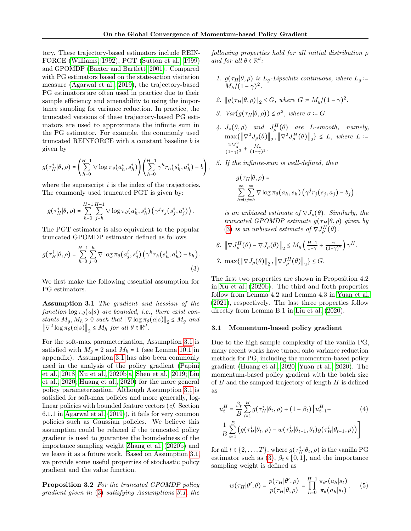tory. These trajectory-based estimators include REIN-FORCE [\(Williams, 1992\)](#page-9-0), PGT [\(Sutton et al., 1999\)](#page-9-15) and GPOMDP [\(Baxter and Bartlett, 2001\)](#page-8-9). Compared with PG estimators based on the state-action visitation measure [\(Agarwal et al., 2019\)](#page-8-7), the trajectory-based PG estimators are often used in practice due to their sample efficiency and amenability to using the importance sampling for variance reduction. In practice, the truncated versions of these trajectory-based PG estimators are used to approximate the infinite sum in the PG estimator. For example, the commonly used truncated REINFORCE with a constant baseline b is given by

$$
g(\tau_H^i|\theta,\rho) = \left(\sum_{h=0}^{H-1} \nabla \log \pi_\theta(a_h^i, s_h^i) \right) \left(\sum_{h=0}^{H-1} \gamma^h r_h(s_h^i, a_h^i) - b\right),
$$

where the superscript  $i$  is the index of the trajectories. The commonly used truncated PGT is given by:

$$
g(\tau^i_H|\theta,\rho)=\sum_{h=0}^{H-1}\sum_{j=h}^{H-1}\nabla \log \pi_\theta(a^i_h,s^i_h)\left(\gamma^j r_j(s^i_j,a^i_j)\right).
$$

The PGT estimator is also equivalent to the popular truncated GPOMDP estimator defined as follows

$$
g(\tau_H^i|\theta,\rho) = \sum_{h=0}^{H-1} \sum_{j=0}^h \nabla \log \pi_\theta(a_j^i, s_j^i) \left(\gamma^h r_h(s_h^i, a_h^i) - b_h\right).
$$
\n(3)

<span id="page-3-0"></span>We first make the following essential assumption for PG estimators.

Assumption 3.1 The gradient and hessian of the function  $\log \pi_{\theta}(a|s)$  are bounded, i.e., there exist constants  $M_g, M_h > 0$  such that  $\|\nabla \log \pi_\theta(a|s)\|_2 \leq M_g$  and  $\left\|\nabla^2 \log \pi_\theta(a|s)\right\|_2 \leq M_h$  for all  $\theta \in \mathbb{R}^d$ .

For the soft-max parameterization, Assumption [3.1](#page-3-0) is satisfied with  $M<sub>g</sub> = 2$  and  $M<sub>h</sub> = 1$  (see Lemma [10.1](#page-14-0) in appendix). Assumption [3.1](#page-3-0) has also been commonly used in the analysis of the policy gradient [\(Papini](#page-9-10) [et al., 2018;](#page-9-10) [Xu et al., 2020b,](#page-10-3)[a;](#page-9-16) [Shen et al., 2019;](#page-9-11) [Liu](#page-9-12) [et al., 2020;](#page-9-12) [Huang et al., 2020\)](#page-8-5) for the more general policy parameterization. Although Assumption [3.1](#page-3-0) is satisfied for soft-max policies and more generally, loglinear policies with bounded feature vectors (cf. Section 6.1.1 in [Agarwal et al.](#page-8-7) [\(2019\)](#page-8-7)), it fails for very common policies such as Gaussian policies. We believe this assumption could be relaxed if the truncated policy gradient is used to guarantee the boundedness of the importance sampling weight [Zhang et al.](#page-10-6) [\(2020b\)](#page-10-6) and we leave it as a future work. Based on Assumption [3.1,](#page-3-0) we provide some useful properties of stochastic policy gradient and the value function.

<span id="page-3-3"></span>Proposition 3.2 For the truncated GPOMDP policy gradient given in [\(3\)](#page-3-1) satisfying Assumptions [3.1,](#page-3-0) the following properties hold for all initial distribution ρ and for all  $\theta \in \mathbb{R}^d$ :

- 1.  $g(\tau_H|\theta,\rho)$  is  $L_q$ -Lipschitz continuous, where  $L_q$  :=  $M_h/(1-\gamma)^2$ .
- 2.  $||g(\tau_H|\theta, \rho)||_2 \leq G$ , where  $G := M_g/(1-\gamma)^2$ .
- 3.  $Var(g(\tau_H|\theta, \rho)) \leq \sigma^2$ , where  $\sigma = G$ .
- 4.  $J_{\rho}(\theta,\rho)$  and  $J_{\rho}^H(\theta)$  are L-smooth, namely,  $\max\{\left\Vert \nabla^2 J_{\rho}(\theta)\right\Vert_2, \left\Vert \nabla^2 J_{\rho}^H(\theta)\right\Vert_2\} \leq L, \text{ where } L :=$  $\frac{2M_g^2}{(1-\gamma)^3} + \frac{M_h}{(1-\gamma)^2}.$
- 5. If the infinite-sum is well-defined, then

$$
g(\tau_H|\theta,\rho) = \sum_{h=0}^{\infty} \sum_{j=h}^{\infty} \nabla \log \pi_{\theta}(a_h, s_h) (\gamma^j r_j(s_j, a_j) - b_j).
$$

is an unbiased estimate of  $\nabla J_{\rho}(\theta)$ . Similarly, the truncated GPOMDP estimate  $g(\tau_H|\theta,\rho)$  given by [\(3\)](#page-3-1) is an unbiased estimate of  $\nabla J^H_\rho(\theta)$ .

$$
6. \|\nabla J_{\rho}^{H}(\theta) - \nabla J_{\rho}(\theta)\|_{2} \le M_{g} \left(\frac{H+1}{1-\gamma} + \frac{\gamma}{(1-\gamma)^{2}}\right) \gamma^{H}.
$$
  
7. 
$$
\max\{\|\nabla J_{\rho}(\theta)\|_{2}, \|\nabla J_{\rho}^{H}(\theta)\|_{2}\} \le G.
$$

<span id="page-3-1"></span>The first two properties are shown in Proposition 4.2 in [Xu et al.](#page-10-3) [\(2020b\)](#page-10-3). The third and forth properties follow from Lemma 4.2 and Lemma 4.3 in [Yuan et al.](#page-10-7) [\(2021\)](#page-10-7), respectively. The last three properties follow directly from Lemma B.1 in [Liu et al.](#page-9-12) [\(2020\)](#page-9-12).

#### 3.1 Momentum-based policy gradient

Due to the high sample complexity of the vanilla PG, many recent works have turned onto variance reduction methods for PG, including the momentum-based policy gradient [\(Huang et al., 2020;](#page-8-5) [Yuan et al., 2020\)](#page-10-2). The momentum-based policy gradient with the batch size of  $B$  and the sampled trajectory of length  $H$  is defined as

<span id="page-3-2"></span>
$$
u_t^H = \frac{\beta_t}{B} \sum_{i=1}^B g(\tau_H^i | \theta_t, \rho) + (1 - \beta_t) \left[ u_{t-1}^H + \frac{1}{B} \sum_{i=1}^B \left( g(\tau_H^i | \theta_t, \rho) - w(\tau_H^i | \theta_{t-1}, \theta_t) g(\tau_H^i | \theta_{t-1}, \rho) \right) \right]
$$
(4)

for all  $t \in \{2, ..., T\}$ , where  $g(\tau_H^i|\theta_t, \rho)$  is the vanilla PG estimator such as [\(3\)](#page-3-1),  $\beta_t \in [0,1]$ , and the importance sampling weight is defined as

$$
w(\tau_H|\theta',\theta) = \frac{p(\tau_H|\theta',\rho)}{p(\tau_H|\theta,\rho)} = \prod_{h=0}^{H-1} \frac{\pi_{\theta'}(a_h|s_t)}{\pi_{\theta}(a_h|s_t)}.
$$
 (5)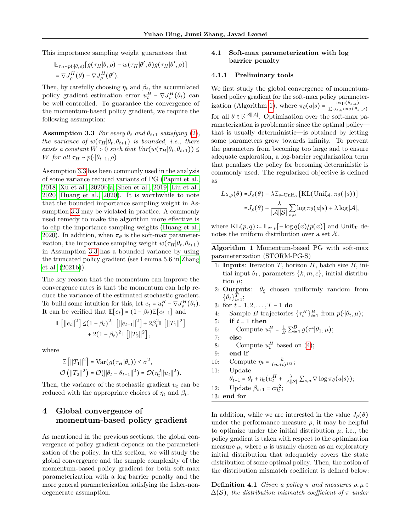This importance sampling weight guarantees that

$$
\mathbb{E}_{\tau_H \sim p(\cdot | \theta, \rho)}[g(\tau_H | \theta, \rho) - w(\tau_H | \theta', \theta) g(\tau_H | \theta', \rho)]
$$
  
=  $\nabla J^H_{\rho}(\theta) - \nabla J^H_{\rho}(\theta').$ 

Then, by carefully choosing  $\eta_t$  and  $\beta_t$ , the accumulated policy gradient estimation error  $u_t^H - \nabla J_\rho^H(\theta_t)$  can be well controlled. To guarantee the convergence of the momentum-based policy gradient, we require the following assumption:

<span id="page-4-0"></span>**Assumption 3.3** For every  $\theta_t$  and  $\theta_{t+1}$  satisfying [\(2\)](#page-2-1), the variance of  $w(\tau_H|\theta_t, \theta_{t+1})$  is bounded, i.e., there exists a constant  $W > 0$  such that  $Var(w(\tau_H | \theta_t, \theta_{t+1})) \leq$ W for all  $\tau_H \sim p(\cdot|\theta_{t+1}, \rho)$ .

Assumption [3.3](#page-4-0) has been commonly used in the analysis of some variance reduced variants of PG [\(Papini et al.,](#page-9-10) [2018;](#page-9-10) [Xu et al., 2020b,](#page-10-3)[a;](#page-9-16) [Shen et al., 2019;](#page-9-11) [Liu et al.,](#page-9-12) [2020;](#page-9-12) [Huang et al., 2020\)](#page-8-5). It is worthwhile to note that the bounded importance sampling weight in Assumption [3.3](#page-4-0) may be violated in practice. A commonly used remedy to make the algorithm more effective is to clip the importance sampling weights [\(Huang et al.,](#page-8-5) [2020\)](#page-8-5). In addition, when  $\pi_{\theta}$  is the soft-max parameterization, the importance sampling weight  $w(\tau_H|\theta_t, \theta_{t+1})$ in Assumption [3.3](#page-4-0) has a bounded variance by using the truncated policy gradient (see Lemma 5.6 in [Zhang](#page-10-5) [et al.](#page-10-5) [\(2021b\)](#page-10-5)).

The key reason that the momentum can improve the convergence rates is that the momentum can help reduce the variance of the estimated stochastic gradient. To build some intuition for this, let  $e_t = u_t^H - \nabla J_\rho^H(\theta_t)$ . It can be verified that  $\mathbb{E}[e_t] = (1 - \beta_t)\mathbb{E}[e_{t-1}]$  and

$$
\mathbb{E}\left[\|e_t\|^2\right] \leq (1-\beta_t)^2 \mathbb{E}\left[\|e_{t-1}\|^2\right] + 2\beta_t^2 \mathbb{E}\left[\|T_1\|^2\right] + 2(1-\beta_t)^2 \mathbb{E}\left[\|T_2\|^2\right],
$$

where

$$
\mathbb{E}[||T_1||^2] = \text{Var}(g(\tau_H|\theta_t)) \le \sigma^2,
$$
  

$$
\mathcal{O}(||T_2||^2) = \mathcal{O}(||\theta_t - \theta_{t-1}||^2) = \mathcal{O}(\eta_t^2 ||u_t||^2).
$$

Then, the variance of the stochastic gradient  $u_t$  can be reduced with the appropriate choices of  $\eta_t$  and  $\beta_t$ .

# 4 Global convergence of momentum-based policy gradient

As mentioned in the previous sections, the global convergence of policy gradient depends on the parameterization of the policy. In this section, we will study the global convergence and the sample complexity of the momentum-based policy gradient for both soft-max parameterization with a log barrier penalty and the more general parameterization satisfying the fisher-nondegenerate assumption.

## <span id="page-4-2"></span>4.1 Soft-max parameterization with log barrier penalty

#### 4.1.1 Preliminary tools

We first study the global convergence of momentumbased policy gradient for the soft-max policy parameter-ization (Algorithm [1\)](#page-4-1), where  $\pi_{\theta}(a|s) = \frac{\exp(\theta_{s,a})}{\sum_{l=1}^{\infty} \exp(\theta_{l})}$  $\sum_{a'\in\mathcal{A}} \exp(\theta_{s,a'})$ for all  $\theta \in \mathbb{R}^{|\mathcal{S}||\mathcal{A}|}$ . Optimization over the soft-max parameterization is problematic since the optimal policy that is usually deterministic—is obtained by letting some parameters grow towards infinity. To prevent the parameters from becoming too large and to ensure adequate exploration, a log-barrier regularization term that penalizes the policy for becoming deterministic is commonly used. The regularized objective is defined as

$$
L_{\lambda,\rho}(\theta) = J_{\rho}(\theta) - \lambda \mathbb{E}_{s \sim \text{Unif}_{\mathcal{S}}} \left[ \text{KL}(\text{Unif}_{\mathcal{A}}, \pi_{\theta}(\cdot | s)) \right]
$$

$$
= J_{\rho}(\theta) + \frac{\lambda}{|\mathcal{A}||\mathcal{S}|} \sum_{s,a} \log \pi_{\theta}(a|s) + \lambda \log |\mathcal{A}|,
$$

where  $KL(p, q) \coloneqq \mathbb{E}_{x \sim p}[-\log q(x)/p(x)]$  and  $Unif_{\mathcal{X}}$  denotes the uniform distribution over a set  $\mathcal{X}.$ 

<span id="page-4-1"></span>Algorithm 1 Momentum-based PG with soft-max parameterization (STORM-PG-S)

- 1: **Inputs**: Iteration  $T$ , horizon  $H$ , batch size  $B$ , initial input  $\theta_1$ , parameters  $\{k, m, c\}$ , initial distribution  $\mu$ ;
- 2: **Outputs**:  $\theta_{\xi}$  chosen uniformly random from  $\{\theta_t\}_{t=1}^T;$
- 3: for  $t = 1, 2, ..., T 1$  do
- 4: Sample B trajectories  $\{\tau_i^H\}_{i=1}^B$  from  $p(\cdot|\theta_t,\mu);$
- 5: if  $t = 1$  then
- 6: Compute  $u_1^H = \frac{1}{B} \sum_{i=1}^B g(\tau^i | \theta_1, \mu);$
- 7: else
- 8: Compute  $u_t^H$  based on [\(4\)](#page-3-2);
- 9: end if
- 10: Compute  $\eta_t = \frac{k}{(m+t)^{1/3}}$ ;
- 11: Update  $\theta_{t+1} = \theta_t + \eta_t \left( u_t^H + \frac{\lambda}{|\mathcal{A}||\mathcal{S}|} \sum_{s,a} \nabla \log \pi_\theta(a|s) \right);$
- 12: Update  $\beta_{t+1} = c\eta_t^2$ ;
- 13: end for

In addition, while we are interested in the value  $J_{\rho}(\theta)$ under the performance measure  $\rho$ , it may be helpful to optimize under the initial distribution  $\mu$ , i.e., the policy gradient is taken with respect to the optimization measure  $\mu$ , where  $\mu$  is usually chosen as an exploratory initial distribution that adequately covers the state distribution of some optimal policy. Then, the notion of the distribution mismatch coefficient is defined below:

**Definition 4.1** Given a policy  $\pi$  and measures  $\rho, \mu \in$  $\Delta(\mathcal{S})$ , the distribution mismatch coefficient of  $\pi$  under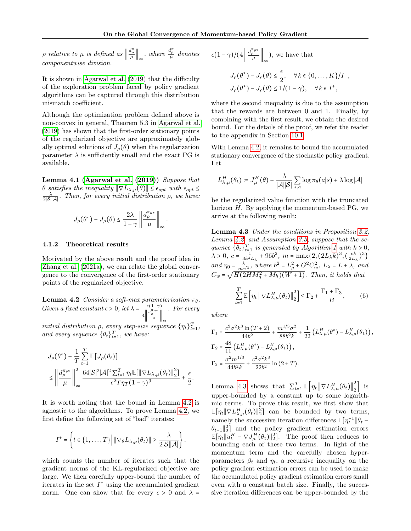p relative to  $\mu$  is defined as  $\left\|\frac{d_{\rho}^{\pi}}{\mu}\right\|_{\infty}$ , where  $\frac{d_{\rho}^{\pi}}{\mu}$  denotes componentwise division.

It is shown in [Agarwal et al.](#page-8-7) [\(2019\)](#page-8-7) that the difficulty of the exploration problem faced by policy gradient algorithms can be captured through this distribution mismatch coefficient.

Although the optimization problem defined above is non-convex in general, Theorem 5.3 in [Agarwal et al.](#page-8-7) [\(2019\)](#page-8-7) has shown that the first-order stationary points of the regularized objective are approximately globally optimal solutions of  $J_{\rho}(\theta)$  when the regularization parameter  $\lambda$  is sufficiently small and the exact PG is available.

<span id="page-5-2"></span>Lemma 4.1 [\(Agarwal et al.](#page-8-7)  $(2019)$ ) Suppose that θ satisfies the inequality  $\|\nabla L_{\lambda,\mu}(\theta)\|$  ≤  $\epsilon_{opt}$  with  $\epsilon_{opt}$  ≤  $\frac{\lambda}{2|\mathcal{S}||\mathcal{A}|}$ . Then, for every initial distribution  $\rho$ , we have:

$$
J_{\rho}(\theta^*) - J_{\rho}(\theta) \leq \frac{2\lambda}{1-\gamma} \left\|\frac{d_{\rho}^{\pi_{\theta^*}}}{\mu}\right\|_{\infty}
$$

.

#### 4.1.2 Theoretical results

Motivated by the above result and the proof idea in [Zhang et al.](#page-10-4) [\(2021a\)](#page-10-4), we can relate the global convergence to the convergence of the first-order stationary points of the regularized objective.

<span id="page-5-0"></span>**Lemma 4.2** Consider a soft-max parameterization  $\pi_{\theta}$ . Given a fixed constant  $\epsilon > 0$ , let  $\lambda = \frac{\epsilon(1-\gamma)}{\|\mathbf{d}^{\pi}\mathbf{e}^*\|}$  $4\left\Vert \frac{d_{\rho}^{\pi}\theta^*}{\mu}\right\Vert_{\infty}$ . For every

initial distribution  $\rho$ , every step-size sequence  $\{\eta_t\}_{t=1}^T$ , and every sequence  $\{\theta_t\}_{t=1}^T$ , we have:

$$
\begin{aligned} &J_{\rho}(\theta^*)-\frac{1}{T}\sum_{t=1}^T\mathbb{E}\left[J_{\rho}(\theta_t)\right]\\ &\leq \left\|\frac{d_{\rho}^{\pi_{\theta^*}}}{\mu}\right\|_{\infty}^2\frac{64|\mathcal{S}|^2|\mathcal{A}|^2\sum_{t=1}^T\eta_t\mathbb{E}\big[\left\|\nabla L_{\lambda,\mu}(\theta_t)\right\|_2^2\big]}{\epsilon^2T\eta_T(1-\gamma)^3}+\frac{\epsilon}{2}. \end{aligned}
$$

It is worth noting that the bound in Lemma [4.2](#page-5-0) is agnostic to the algorithms. To prove Lemma [4.2,](#page-5-0) we first define the following set of "bad" iterates:

$$
I^+=\left\{t\in\{1,\ldots,T\}\Big|\left\|\nabla_{\theta}L_{\lambda,\rho}(\theta_t)\right\|\geq\frac{\lambda}{2|\mathcal{S}||\mathcal{A}|}\right\}.
$$

which counts the number of iterates such that the gradient norms of the KL-regularized objective are large. We then carefully upper-bound the number of iterates in the set  $I^+$  using the accumulated gradient norm. One can show that for every  $\epsilon > 0$  and  $\lambda =$ 

$$
\epsilon (1 - \gamma) / (4 \left\| \frac{d_{\rho}^{\pi_{\theta^*}}}{\mu} \right\|_{\infty}),
$$
 we have that  

$$
J_{\rho}(\theta^*) - J_{\rho}(\theta) \le \frac{\epsilon}{2}, \quad \forall k \in \{0, ..., K\} / I
$$

$$
J_{\rho}(\theta^*) - J_{\rho}(\theta) \le 1 / (1 - \gamma), \quad \forall k \in I^+,
$$

+ ,

where the second inequality is due to the assumption that the rewards are between 0 and 1. Finally, by combining with the first result, we obtain the desired bound. For the details of the proof, we refer the reader to the appendix in Section [10.1.](#page-13-0)

With Lemma [4.2,](#page-5-0) it remains to bound the accumulated stationary convergence of the stochastic policy gradient. Let

$$
L^H_{\lambda,\mu}(\theta_t) \coloneqq J^H_\mu(\theta) + \frac{\lambda}{|\mathcal{A}||\mathcal{S}|} \sum_{s,a} \log \pi_\theta(a|s) + \lambda \log |\mathcal{A}|
$$

be the regularized value function with the truncated horizon  $H$ . By applying the momentum-based PG, we arrive at the following result:

<span id="page-5-1"></span>Lemma 4.3 Under the conditions in Proposition [3.2,](#page-3-3) Lemma [4.2,](#page-5-0) and Assumption [3.3,](#page-4-0) suppose that the sequence  $\{\theta_t\}_{t=1}^T$  is generated by Algorithm [1](#page-4-1) with  $k > 0$ ,  $\lambda > 0, c = \frac{1}{3k^3 L_{\lambda}} + 96b^2, m = \max\{2, (2L_{\lambda}k)^3, (\frac{ck}{2L_{\lambda}})^3\}$ and  $\eta_0 = \frac{k}{m^{1/3}}$ , where  $b^2 = L_g^2 + G^2 C_w^2$ ,  $L_\lambda = L + \lambda$ , and  $C_w = \sqrt{H(2HM_g^2 + M_h)(W+1)}$ . Then, it holds that

$$
\sum_{t=1}^{T} \mathbb{E}\left[\eta_t \left\|\nabla L_{\lambda,\mu}^H(\theta_t)\right\|_2^2\right] \le \Gamma_2 + \frac{\Gamma_1 + \Gamma_3}{B},\tag{6}
$$

where

$$
\Gamma_1 = \frac{c^2 \sigma^2 k^3 \ln (T+2)}{44b^2} + \frac{m^{1/3} \sigma^2}{88b^2 k} + \frac{1}{22} \left( L_{\lambda,\mu}^H(\theta^*) - L_{\lambda,\mu}^H(\theta_1) \right),
$$
  
\n
$$
\Gamma_2 = \frac{48}{11} \left( L_{\lambda,\mu}^H(\theta^*) - L_{\lambda,\mu}^H(\theta_1) \right),
$$
  
\n
$$
\Gamma_3 = \frac{\sigma^2 m^{1/3}}{44b^2 k} + \frac{c^2 \sigma^2 k^3}{22b^2} \ln (2+T).
$$

Lemma [4.3](#page-5-1) shows that  $\sum_{t=1}^{T} \mathbb{E} \left[ \eta_t \left\| \nabla L_{\lambda,\mu}^H(\theta_t) \right\|_2^2 \right]$  $\begin{bmatrix} 2 \end{bmatrix}$  is upper-bounded by a constant up to some logarithmic terms. To prove this result, we first show that  $\mathbb{E}[\eta_t \|\nabla L_{\lambda,\mu}^H(\theta_t)\|_2^2]$  can be bounded by two terms, namely the successive iteration differences  $\mathbb{E}[\eta_t^{-1} \| \theta_t \theta_{t-1}$ ||2] and the policy gradient estimation errors  $\mathbb{E}[\eta_t || u_t^H - \nabla J_\mu^H(\theta_t) ||_2^2]$ . The proof then reduces to bounding each of these two terms. In light of the momentum term and the carefully chosen hyperparameters  $\beta_t$  and  $\eta_t$ , a recursive inequality on the policy gradient estimation errors can be used to make the accumulated policy gradient estimation errors small even with a constant batch size. Finally, the successive iteration differences can be upper-bounded by the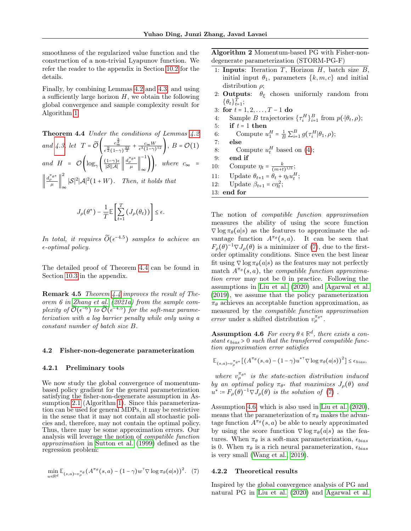smoothness of the regularized value function and the construction of a non-trivial Lyapunov function. We refer the reader to the appendix in Section [10.2](#page-14-1) for the details.

Finally, by combining Lemmas [4.2](#page-5-0) and [4.3,](#page-5-1) and using a sufficiently large horizon  $H$ , we obtain the following global convergence and sample complexity result for Algorithm [1.](#page-4-1)

<span id="page-6-0"></span>Theorem 4.4 Under the conditions of Lemmas [4.2](#page-5-0) and [4.3,](#page-5-1) let  $T = \widetilde{\mathcal{O}} \left( \frac{c_{\infty}^{\frac{3}{2}}}{\frac{9}{2} \left( 1 - \frac{1}{2} \right)} \right)$  $\frac{c_{\infty}^2}{\epsilon^{\frac{9}{2}}(1-\gamma)^{\frac{33}{2}}}+\frac{c_{\infty}W}{\epsilon^3(1-\gamma)^{12}}$ ,  $B = \mathcal{O}(1)$ and  $H = \mathcal{O}\left(\log_{\gamma}\left(\frac{(1-\gamma)\epsilon}{|\mathcal{S}||\mathcal{A}|}\right)\right)$  $\frac{(1-\gamma)\epsilon}{|\mathcal{S}||\mathcal{A}|}\left\|\frac{d_{\rho}^{\pi_{\theta}*}}{\mu}\right\|$ −1  $\bigcup_{\infty}$ , where  $c_{\infty}$  =  $\left\Vert \frac{d_{\rho}^{\pi_{\theta}*}}{\mu}\right\Vert$ 2  $\int_{\infty}$  |S|<sup>2</sup>|A|<sup>2</sup>(1 + W). Then, it holds that

$$
J_{\rho}(\theta^*) - \frac{1}{T} \mathbb{E}\left[\sum_{t=1}^T \left(J_{\rho}(\theta_t)\right)\right] \leq \epsilon.
$$

In total, it requires  $\widetilde{O}(\epsilon^{-4.5})$  samples to achieve an  $\epsilon$ -optimal policy.

The detailed proof of Theorem [4.4](#page-6-0) can be found in Section [10.3](#page-18-0) in the appendix.

**Remark 4.5** Theorem  $4.4$  improves the result of Theorem 6 in [Zhang et al.](#page-10-4) [\(2021a\)](#page-10-4) from the sample complexity of  $\widetilde{\mathcal{O}}(\epsilon^{-6})$  to  $\widetilde{\mathcal{O}}(\epsilon^{-4.5})$  for the soft-max parameterization with a log barrier penalty while only using a constant number of batch size B.

#### <span id="page-6-4"></span>4.2 Fisher-non-degenerate parameterization

#### 4.2.1 Preliminary tools

We now study the global convergence of momentumbased policy gradient for the general parameterization satisfying the fisher-non-degenerate assumption in Assumption [2.1](#page-2-0) (Algorithm [1\)](#page-4-1). Since this parameterization can be used for general MDPs, it may be restrictive in the sense that it may not contain all stochastic policies and, therefore, may not contain the optimal policy. Thus, there may be some approximation errors. Our analysis will leverage the notion of compatible function approximation in [Sutton et al.](#page-9-15) [\(1999\)](#page-9-15) defined as the regression problem:

$$
\min_{w \in \mathbb{R}^d} \mathbb{E}_{(s,a) \sim v^{\pi_{\theta}}_{\rho}}(A^{\pi_{\theta}}(s,a) - (1-\gamma)w^{\top} \nabla \log \pi_{\theta}(a|s))^2. \tag{7}
$$

<span id="page-6-3"></span>Algorithm 2 Momentum-based PG with Fisher-nondegenerate parameterization (STORM-PG-F)

- 1: Inputs: Iteration  $T$ , Horizon  $H$ , batch size  $B$ , initial input  $\theta_1$ , parameters  $\{k,m,c\}$  and initial distribution  $\rho$ ;
- 2: **Outputs**:  $\theta_{\xi}$  chosen uniformly random from  $\{\theta_t\}_{t=1}^T;$
- 3: for  $t = 1, 2, ..., T 1$  do
- 4: Sample B trajectories  $\{\tau_i^H\}_{i=1}^B$  from  $p(\cdot|\theta_t, \rho);$
- 5: if  $t = 1$  then
- 6: Compute  $u_1^H = \frac{1}{B} \sum_{i=1}^B g(\tau_i^H | \theta_1, \rho);$
- 7: else
- 8: Compute  $u_t^H$  based on [\(4\)](#page-3-2);
- 9: end if
- 10: Compute  $\eta_t = \frac{k}{(m+t)^{1/3}}$ ;
- 11: Update  $\theta_{t+1} = \theta_t + \eta_t u_t^H$ ;
- 12: Update  $\beta_{t+1} = c\eta_t^2$ ;
- 13: end for

The notion of compatible function approximation measures the ability of using the score function  $\nabla$ log  $\pi_{\theta}(a|s)$  as the features to approximate the advantage function  $A^{\pi_\theta}(s, a)$ . It can be seen that  $F_{\rho}(\theta)^{-1} \nabla J_{\rho}(\theta)$  is a minimizer of [\(7\)](#page-6-1), due to the firstorder optimality conditions. Since even the best linear fit using  $\nabla$  log  $\pi_{\theta}(a|s)$  as the features may not perfectly match  $A^{\pi_{\theta}}(s, a)$ , the compatible function approximation error may not be 0 in practice. Following the assumptions in [Liu et al.](#page-9-12) [\(2020\)](#page-9-12) and [Agarwal et al.](#page-8-7) [\(2019\)](#page-8-7), we assume that the policy parameterization  $\pi_{\theta}$  achieves an acceptable function approximation, as measured by the compatible function approximation error under a shifted distribution  $v_{\rho}^{\pi_{\theta^*}}$ .

<span id="page-6-2"></span>**Assumption 4.6** For every  $\theta \in \mathbb{R}^d$ , there exists a constant  $\epsilon_{bias} > 0$  such that the transferred compatible function approximation error satisfies

$$
\mathbb{E}_{(s,a)\sim v_{\rho}^{\pi_{\theta}*}}\left[\left(A^{\pi_{\theta}}(s,a)-(1-\gamma)u^{*\top}\nabla \log \pi_{\theta}(a|s)\right)^{2}\right] \leq \epsilon_{bias},
$$

where  $v_{\rho}^{\pi_{\theta^*}}$  is the state-action distribution induced by an optimal policy  $\pi_{\theta^*}$  that maximizes  $J_\rho(\theta)$  and  $u^* \coloneqq F_\rho(\theta)^{-1} \nabla J_\rho(\theta)$  is the solution of [\(7\)](#page-6-1).

Assumption [4.6,](#page-6-2) which is also used in [Liu et al.](#page-9-12) [\(2020\)](#page-9-12), means that the parameterization of  $\pi_{\theta}$  makes the advantage function  $A^{\pi_{\theta}}(s, a)$  be able to nearly approximated by using the score function  $\nabla \log \pi_{\theta}(a|s)$  as the features. When  $\pi_{\theta}$  is a soft-max parameterization,  $\epsilon_{bias}$ is 0. When  $\pi_{\theta}$  is a rich neural parameterization,  $\epsilon_{bias}$ is very small [\(Wang et al., 2019\)](#page-9-13).

#### <span id="page-6-1"></span>4.2.2 Theoretical results

Inspired by the global convergence analysis of PG and natural PG in [Liu et al.](#page-9-12) [\(2020\)](#page-9-12) and [Agarwal et al.](#page-8-7)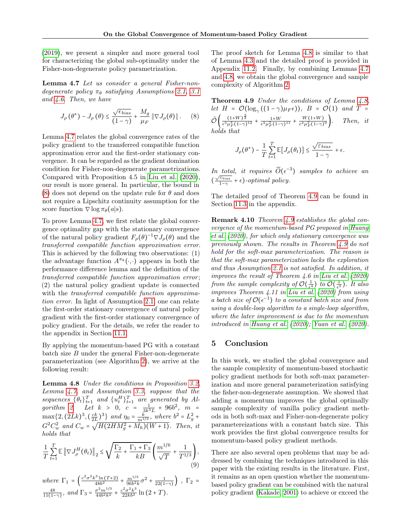[\(2019\)](#page-8-7), we present a simpler and more general tool for characterizing the global sub-optimality under the Fisher-non-degenerate policy parametrization.

<span id="page-7-0"></span>Lemma 4.7 Let us consider a general Fisher-nondegenerate policy  $\pi_{\theta}$  satisfying Assumptions [2.1,](#page-2-0) [3.1](#page-3-0) and [4.6.](#page-6-2) Then, we have

$$
J_{\rho}(\theta^*) - J_{\rho}(\theta) \le \frac{\sqrt{\epsilon_{bias}}}{(1-\gamma)} + \frac{M_g}{\mu_F} \|\nabla J_{\rho}(\theta)\|.
$$
 (8)

Lemma [4.7](#page-7-0) relates the global convergence rates of the policy gradient to the transferred compatible function approximation error and the first-order stationary convergence. It can be regarded as the gradient domination condition for Fisher-non-degenerate parametrizations. Compared with Proposition 4.5 in [Liu et al.](#page-9-12) [\(2020\)](#page-9-12), our result is more general. In particular, the bound in [\(8\)](#page-7-1) does not depend on the update rule for  $\theta$  and does not require a Lipschitz continuity assumption for the score function  $\nabla$  log  $\pi_{\theta}(a|s)$ .

To prove Lemma [4.7,](#page-7-0) we first relate the global convergence optimality gap with the stationary convergence of the natural policy gradient  $F_{\rho}(\theta)^{-1} \nabla J_{\rho}(\theta)$  and the transferred compatible function approximation error. This is achieved by the following two observations: (1) the advantage function  $A^{\pi_{\theta}}(\cdot, \cdot)$  appears in both the performance difference lemma and the definition of the transferred compatible function approximation error ; (2) the natural policy gradient update is connected with the *transferred compatible function approxima*tion error. In light of Assumption [2.1,](#page-2-0) one can relate the first-order stationary convergence of natural policy gradient with the first-order stationary convergence of policy gradient. For the details, we refer the reader to the appendix in Section [11.1.](#page-19-0)

By applying the momentum-based PG with a constant batch size  $B$  under the general Fisher-non-degenerate parameterization (see Algorithm [2\)](#page-6-3), we arrive at the following result:

<span id="page-7-2"></span>Lemma 4.8 Under the conditions in Proposition [3.2,](#page-3-3) Lemma [4.7,](#page-7-0) and Assumption [3.3,](#page-4-0) suppose that the sequences  $\{\theta_t\}_{t=1}^T$  and  $\{u_t^H\}_{t=1}^T$  are generated by Al-gorithm [2.](#page-6-3) Let  $k > 0$ ,  $c = \frac{1}{3k^3L} + 96b^2$ ,  $m =$  $\max\{2,(2Lk)^3,(\frac{ck}{2L})^3\}$  and  $\eta_0 = \frac{k}{m^{1/3}}$ , where  $b^2 = L_g^2 +$  $G^{2}C_{w}^{2}$  and  $C_{w} = \sqrt{H(2HM_{g}^{2} + M_{h})(W + 1)}$ . Then, it holds that

$$
\frac{1}{T} \sum_{t=1}^{T} \mathbb{E} \left\| \nabla J_{\rho}^{H}(\theta_{t}) \right\|_{2} \leq \sqrt{\frac{\Gamma_{2}}{k} + \frac{\Gamma_{1} + \Gamma_{3}}{kB}} \left( \frac{m^{1/6}}{\sqrt{T}} + \frac{1}{T^{1/3}} \right),\tag{9}
$$

where  $\Gamma_1 = \left( \frac{c^2 \sigma^2 k^3 \ln(T+2)}{48b^2} + \frac{m^{1/3}}{96b^2k} \sigma^2 + \frac{1}{22(1-\gamma)} \right)$ ,  $\Gamma_2 =$  $\frac{48}{11(1-\gamma)}$ , and  $\Gamma_3 = \frac{\sigma^2 m^{1/3}}{44b^2k^2} + \frac{c^2\sigma^2k^3}{22kb^2}\ln(2+T)$ .

The proof sketch for Lemma [4.8](#page-7-2) is similar to that of Lemma [4.3](#page-5-1) and the detailed proof is provided in Appendix [11.2.](#page-20-0) Finally, by combining Lemmas [4.7](#page-7-0) and [4.8,](#page-7-2) we obtain the global convergence and sample complexity of Algorithm [2.](#page-6-3)

<span id="page-7-3"></span><span id="page-7-1"></span>Theorem 4.9 Under the conditions of Lemma [4.8,](#page-7-2) let  $H = \mathcal{O}(\log_{\gamma}((1-\gamma)\mu_F\epsilon)), B = \mathcal{O}(1)$  and  $T =$  $\tilde{\mathcal{O}}\left(\frac{(1+W)^{\frac{3}{2}}}{\epsilon^3\mu_F^3(1-\gamma)^{12}}+\frac{1+W}{\epsilon^2\mu_F^2(1-\gamma)^{11}}+\frac{W(1+W)}{\epsilon^2\mu_F^2(1-\gamma)}\right)$ Then, it holds that

$$
J_{\rho}(\theta^*) - \frac{1}{T}\sum_{t=1}^T \mathbb{E}\big[ J_{\rho}(\theta_t) \big] \leq \frac{\sqrt{\varepsilon_{bias}}}{1-\gamma} + \epsilon.
$$

In total, it requires  $\widetilde{O}(\epsilon^{-3})$  samples to achieve an  $\frac{\sqrt{\varepsilon_{bias}}}{1-\gamma}$  $\frac{\varepsilon_{bias}}{1-\gamma} + \epsilon$ )-optimal policy.

The detailed proof of Theorem [4.9](#page-7-3) can be found in Section [11.3](#page-23-0) in the appendix.

Remark 4.10 Theorem [4.9](#page-7-3) establishes the global convergence of the momentum-based PG proposed in [Huang](#page-8-5) [et al.](#page-8-5) [\(2020\)](#page-8-5), for which only stationary convergence was previously shown. The results in Theorem [4.9](#page-7-3) do not hold for the soft-max parameterization. The reason is that the soft-max parameterization lacks the exploration and thus Assumption [2.1](#page-2-0) is not satisfied. In addition, it improves the result of Theorem 4.6 in [Liu et al.](#page-9-12) [\(2020\)](#page-9-12) from the sample complexity of  $\mathcal{O}(\frac{1}{\epsilon^4})$  to  $\widetilde{\mathcal{O}}(\frac{1}{\epsilon^3})$ . It also improves Theorem 4.11 in [Liu et al.](#page-9-12)  $(2020)$  from using a batch size of  $\mathcal{O}(\epsilon^{-1})$  to a constant batch size and from using a double-loop algorithm to a single-loop algorithm, where the later improvement is due to the momentum introduced in [Huang et al.](#page-8-5) [\(2020\)](#page-8-5); [Yuan et al.](#page-10-2) [\(2020\)](#page-10-2).

## 5 Conclusion

In this work, we studied the global convergence and the sample complexity of momentum-based stochastic policy gradient methods for both soft-max parameterization and more general parameterization satisfying the fisher-non-degenerate assumption. We showed that adding a momentum improves the global optimally sample complexity of vanilla policy gradient methods in both soft-max and Fisher-non-degenerate policy parametereizations with a constant batch size. This work provides the first global convergence results for momentum-based policy gradient methods.

There are also several open problems that may be addressed by combining the techniques introduced in this paper with the existing results in the literature. First, it remains as an open question whether the momentumbased policy gradient can be combined with the natural policy gradient [\(Kakade, 2001\)](#page-8-1) to achieve or exceed the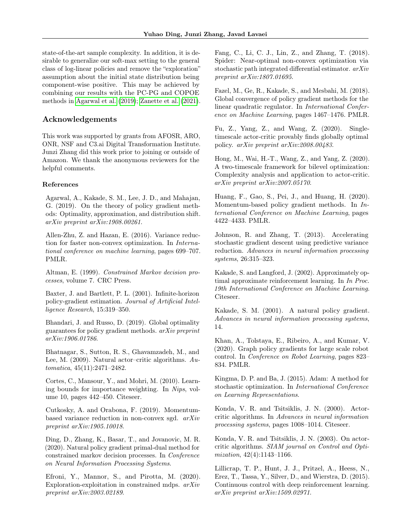state-of-the-art sample complexity. In addition, it is desirable to generalize our soft-max setting to the general class of log-linear policies and remove the "exploration" assumption about the initial state distribution being component-wise positive. This may be achieved by combining our results with the PC-PG and COPOE methods in [Agarwal et al.](#page-8-7) [\(2019\)](#page-8-7); [Zanette et al.](#page-10-8) [\(2021\)](#page-10-8).

## Acknowledgements

This work was supported by grants from AFOSR, ARO, ONR, NSF and C3.ai Digital Transformation Institute. Junzi Zhang did this work prior to joining or outside of Amazon. We thank the anonymous reviewers for the helpful comments.

#### References

<span id="page-8-7"></span>Agarwal, A., Kakade, S. M., Lee, J. D., and Mahajan, G. (2019). On the theory of policy gradient methods: Optimality, approximation, and distribution shift. arXiv preprint arXiv:1908.00261.

<span id="page-8-12"></span>Allen-Zhu, Z. and Hazan, E. (2016). Variance reduction for faster non-convex optimization. In International conference on machine learning, pages 699–707. PMLR.

<span id="page-8-21"></span>Altman, E. (1999). Constrained Markov decision processes, volume 7. CRC Press.

<span id="page-8-9"></span>Baxter, J. and Bartlett, P. L. (2001). Infinite-horizon policy-gradient estimation. Journal of Artificial Intelligence Research, 15:319–350.

<span id="page-8-16"></span>Bhandari, J. and Russo, D. (2019). Global optimality guarantees for policy gradient methods. arXiv preprint arXiv:1906.01786.

<span id="page-8-10"></span>Bhatnagar, S., Sutton, R. S., Ghavamzadeh, M., and Lee, M. (2009). Natural actor–critic algorithms. Automatica, 45(11):2471–2482.

<span id="page-8-22"></span>Cortes, C., Mansour, Y., and Mohri, M. (2010). Learning bounds for importance weighting. In Nips, volume 10, pages 442–450. Citeseer.

<span id="page-8-6"></span>Cutkosky, A. and Orabona, F. (2019). Momentumbased variance reduction in non-convex sgd. arXiv preprint arXiv:1905.10018.

<span id="page-8-19"></span>Ding, D., Zhang, K., Basar, T., and Jovanovic, M. R. (2020). Natural policy gradient primal-dual method for constrained markov decision processes. In Conference on Neural Information Processing Systems.

<span id="page-8-20"></span>Efroni, Y., Mannor, S., and Pirotta, M. (2020). Exploration-exploitation in constrained mdps. arXiv preprint arXiv:2003.02189.

<span id="page-8-13"></span>Fang, C., Li, C. J., Lin, Z., and Zhang, T. (2018). Spider: Near-optimal non-convex optimization via stochastic path integrated differential estimator. arXiv preprint arXiv:1807.01695.

<span id="page-8-15"></span>Fazel, M., Ge, R., Kakade, S., and Mesbahi, M. (2018). Global convergence of policy gradient methods for the linear quadratic regulator. In International Conference on Machine Learning, pages 1467–1476. PMLR.

<span id="page-8-18"></span>Fu, Z., Yang, Z., and Wang, Z. (2020). Singletimescale actor-critic provably finds globally optimal policy. arXiv preprint arXiv:2008.00483.

<span id="page-8-17"></span>Hong, M., Wai, H.-T., Wang, Z., and Yang, Z. (2020). A two-timescale framework for bilevel optimization: Complexity analysis and application to actor-critic. arXiv preprint arXiv:2007.05170.

<span id="page-8-5"></span>Huang, F., Gao, S., Pei, J., and Huang, H. (2020). Momentum-based policy gradient methods. In International Conference on Machine Learning, pages 4422–4433. PMLR.

<span id="page-8-11"></span>Johnson, R. and Zhang, T. (2013). Accelerating stochastic gradient descent using predictive variance reduction. Advances in neural information processing systems, 26:315–323.

<span id="page-8-8"></span>Kakade, S. and Langford, J. (2002). Approximately optimal approximate reinforcement learning. In In Proc. 19th International Conference on Machine Learning. Citeseer.

<span id="page-8-1"></span>Kakade, S. M. (2001). A natural policy gradient. Advances in neural information processing systems, 14.

<span id="page-8-3"></span>Khan, A., Tolstaya, E., Ribeiro, A., and Kumar, V. (2020). Graph policy gradients for large scale robot control. In Conference on Robot Learning, pages 823– 834. PMLR.

<span id="page-8-4"></span>Kingma, D. P. and Ba, J. (2015). Adam: A method for stochastic optimization. In International Conference on Learning Representations.

<span id="page-8-0"></span>Konda, V. R. and Tsitsiklis, J. N. (2000). Actorcritic algorithms. In Advances in neural information processing systems, pages 1008–1014. Citeseer.

<span id="page-8-14"></span>Konda, V. R. and Tsitsiklis, J. N. (2003). On actorcritic algorithms. SIAM journal on Control and Optimization, 42(4):1143–1166.

<span id="page-8-2"></span>Lillicrap, T. P., Hunt, J. J., Pritzel, A., Heess, N., Erez, T., Tassa, Y., Silver, D., and Wierstra, D. (2015). Continuous control with deep reinforcement learning. arXiv preprint arXiv:1509.02971.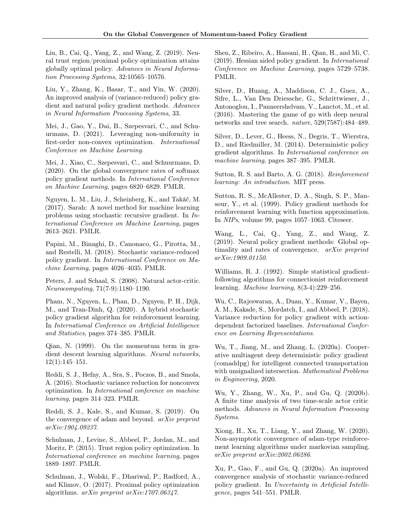<span id="page-9-23"></span>Liu, B., Cai, Q., Yang, Z., and Wang, Z. (2019). Neural trust region/proximal policy optimization attains globally optimal policy. Advances in Neural Information Processing Systems, 32:10565–10576.

<span id="page-9-12"></span>Liu, Y., Zhang, K., Basar, T., and Yin, W. (2020). An improved analysis of (variance-reduced) policy gradient and natural policy gradient methods. Advances in Neural Information Processing Systems, 33.

<span id="page-9-22"></span>Mei, J., Gao, Y., Dai, B., Szepesvari, C., and Schuurmans, D. (2021). Leveraging non-uniformity in first-order non-convex optimization. International Conference on Machine Learning.

<span id="page-9-21"></span>Mei, J., Xiao, C., Szepesvari, C., and Schuurmans, D. (2020). On the global convergence rates of softmax policy gradient methods. In International Conference on Machine Learning, pages 6820–6829. PMLR.

<span id="page-9-20"></span>Nguyen, L. M., Liu, J., Scheinberg, K., and Takáč, M. (2017). Sarah: A novel method for machine learning problems using stochastic recursive gradient. In International Conference on Machine Learning, pages 2613–2621. PMLR.

<span id="page-9-10"></span>Papini, M., Binaghi, D., Canonaco, G., Pirotta, M., and Restelli, M. (2018). Stochastic variance-reduced policy gradient. In International Conference on Machine Learning, pages 4026–4035. PMLR.

<span id="page-9-18"></span>Peters, J. and Schaal, S. (2008). Natural actor-critic. Neurocomputing, 71(7-9):1180–1190.

<span id="page-9-9"></span>Pham, N., Nguyen, L., Phan, D., Nguyen, P. H., Dijk, M., and Tran-Dinh, Q. (2020). A hybrid stochastic policy gradient algorithm for reinforcement learning. In International Conference on Artificial Intelligence and Statistics, pages 374–385. PMLR.

<span id="page-9-6"></span>Qian, N. (1999). On the momentum term in gradient descent learning algorithms. Neural networks, 12(1):145–151.

<span id="page-9-19"></span>Reddi, S. J., Hefny, A., Sra, S., Poczos, B., and Smola, A. (2016). Stochastic variance reduction for nonconvex optimization. In International conference on machine learning, pages 314–323. PMLR.

<span id="page-9-7"></span>Reddi, S. J., Kale, S., and Kumar, S. (2019). On the convergence of adam and beyond. arXiv preprint arXiv:1904.09237.

<span id="page-9-2"></span>Schulman, J., Levine, S., Abbeel, P., Jordan, M., and Moritz, P. (2015). Trust region policy optimization. In International conference on machine learning, pages 1889–1897. PMLR.

<span id="page-9-3"></span>Schulman, J., Wolski, F., Dhariwal, P., Radford, A., and Klimov, O. (2017). Proximal policy optimization algorithms. arXiv preprint arXiv:1707.06347.

<span id="page-9-11"></span>Shen, Z., Ribeiro, A., Hassani, H., Qian, H., and Mi, C. (2019). Hessian aided policy gradient. In International Conference on Machine Learning, pages 5729–5738. PMLR.

<span id="page-9-4"></span>Silver, D., Huang, A., Maddison, C. J., Guez, A., Sifre, L., Van Den Driessche, G., Schrittwieser, J., Antonoglou, I., Panneershelvam, V., Lanctot, M., et al. (2016). Mastering the game of go with deep neural networks and tree search. nature, 529(7587):484–489.

<span id="page-9-1"></span>Silver, D., Lever, G., Heess, N., Degris, T., Wierstra, D., and Riedmiller, M. (2014). Deterministic policy gradient algorithms. In International conference on machine learning, pages 387–395. PMLR.

<span id="page-9-14"></span>Sutton, R. S. and Barto, A. G. (2018). Reinforcement learning: An introduction. MIT press.

<span id="page-9-15"></span>Sutton, R. S., McAllester, D. A., Singh, S. P., Mansour, Y., et al. (1999). Policy gradient methods for reinforcement learning with function approximation. In NIPs, volume 99, pages 1057–1063. Citeseer.

<span id="page-9-13"></span>Wang, L., Cai, Q., Yang, Z., and Wang, Z. (2019). Neural policy gradient methods: Global optimality and rates of convergence. arXiv preprint arXiv:1909.01150.

<span id="page-9-0"></span>Williams, R. J. (1992). Simple statistical gradientfollowing algorithms for connectionist reinforcement learning. Machine learning, 8(3-4):229–256.

<span id="page-9-17"></span>Wu, C., Rajeswaran, A., Duan, Y., Kumar, V., Bayen, A. M., Kakade, S., Mordatch, I., and Abbeel, P. (2018). Variance reduction for policy gradient with actiondependent factorized baselines. International Conference on Learning Representations.

<span id="page-9-5"></span>Wu, T., Jiang, M., and Zhang, L. (2020a). Cooperative multiagent deep deterministic policy gradient (comaddpg) for intelligent connected transportation with unsignalized intersection. Mathematical Problems in Engineering, 2020.

<span id="page-9-24"></span>Wu, Y., Zhang, W., Xu, P., and Gu, Q. (2020b). A finite time analysis of two time-scale actor critic methods. Advances in Neural Information Processing Systems.

<span id="page-9-8"></span>Xiong, H., Xu, T., Liang, Y., and Zhang, W. (2020). Non-asymptotic convergence of adam-type reinforcement learning algorithms under markovian sampling. arXiv preprint arXiv:2002.06286.

<span id="page-9-16"></span>Xu, P., Gao, F., and Gu, Q. (2020a). An improved convergence analysis of stochastic variance-reduced policy gradient. In Uncertainty in Artificial Intelligence, pages 541–551. PMLR.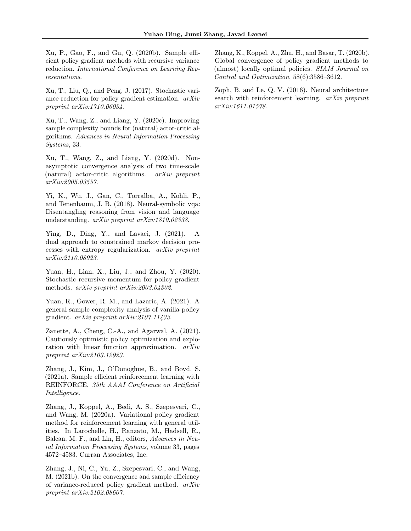<span id="page-10-3"></span>Xu, P., Gao, F., and Gu, Q. (2020b). Sample efficient policy gradient methods with recursive variance reduction. International Conference on Learning Representations.

<span id="page-10-9"></span>Xu, T., Liu, Q., and Peng, J. (2017). Stochastic variance reduction for policy gradient estimation. arXiv preprint arXiv:1710.06034.

<span id="page-10-10"></span>Xu, T., Wang, Z., and Liang, Y. (2020c). Improving sample complexity bounds for (natural) actor-critic algorithms. Advances in Neural Information Processing Systems, 33.

<span id="page-10-11"></span>Xu, T., Wang, Z., and Liang, Y. (2020d). Nonasymptotic convergence analysis of two time-scale (natural) actor-critic algorithms. arXiv preprint arXiv:2005.03557.

<span id="page-10-1"></span>Yi, K., Wu, J., Gan, C., Torralba, A., Kohli, P., and Tenenbaum, J. B. (2018). Neural-symbolic vqa: Disentangling reasoning from vision and language understanding. arXiv preprint arXiv:1810.02338.

<span id="page-10-13"></span>Ying, D., Ding, Y., and Lavaei, J. (2021). A dual approach to constrained markov decision processes with entropy regularization. arXiv preprint arXiv:2110.08923.

<span id="page-10-2"></span>Yuan, H., Lian, X., Liu, J., and Zhou, Y. (2020). Stochastic recursive momentum for policy gradient methods. arXiv preprint arXiv:2003.04302.

<span id="page-10-7"></span>Yuan, R., Gower, R. M., and Lazaric, A. (2021). A general sample complexity analysis of vanilla policy gradient. arXiv preprint arXiv:2107.11433.

<span id="page-10-8"></span>Zanette, A., Cheng, C.-A., and Agarwal, A. (2021). Cautiously optimistic policy optimization and exploration with linear function approximation. arXiv preprint arXiv:2103.12923.

<span id="page-10-4"></span>Zhang, J., Kim, J., O'Donoghue, B., and Boyd, S. (2021a). Sample efficient reinforcement learning with REINFORCE. 35th AAAI Conference on Artificial Intelligence.

<span id="page-10-12"></span>Zhang, J., Koppel, A., Bedi, A. S., Szepesvari, C., and Wang, M. (2020a). Variational policy gradient method for reinforcement learning with general utilities. In Larochelle, H., Ranzato, M., Hadsell, R., Balcan, M. F., and Lin, H., editors, Advances in Neural Information Processing Systems, volume 33, pages 4572–4583. Curran Associates, Inc.

<span id="page-10-5"></span>Zhang, J., Ni, C., Yu, Z., Szepesvari, C., and Wang, M. (2021b). On the convergence and sample efficiency of variance-reduced policy gradient method. arXiv preprint arXiv:2102.08607.

<span id="page-10-6"></span>Zhang, K., Koppel, A., Zhu, H., and Basar, T. (2020b). Global convergence of policy gradient methods to (almost) locally optimal policies. SIAM Journal on Control and Optimization, 58(6):3586–3612.

<span id="page-10-0"></span>Zoph, B. and Le, Q. V. (2016). Neural architecture search with reinforcement learning. *arXiv preprint* arXiv:1611.01578.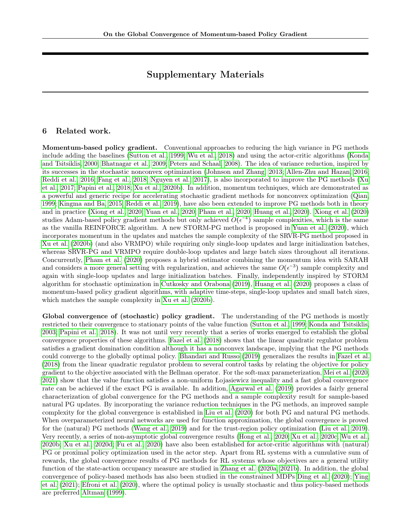# Supplementary Materials

## <span id="page-11-0"></span>6 Related work.

Momentum-based policy gradient. Conventional approaches to reducing the high variance in PG methods include adding the baselines [\(Sutton et al., 1999;](#page-9-15) [Wu et al., 2018\)](#page-9-17) and using the actor-critic algorithms [\(Konda](#page-8-0) [and Tsitsiklis, 2000;](#page-8-0) [Bhatnagar et al., 2009;](#page-8-10) [Peters and Schaal, 2008\)](#page-9-18). The idea of variance reduction, inspired by its successes in the stochastic nonconvex optimization [\(Johnson and Zhang, 2013;](#page-8-11) [Allen-Zhu and Hazan, 2016;](#page-8-12) [Reddi et al., 2016;](#page-9-19) [Fang et al., 2018;](#page-8-13) [Nguyen et al., 2017\)](#page-9-20), is also incorporated to improve the PG methods [\(Xu](#page-10-9) [et al., 2017;](#page-10-9) [Papini et al., 2018;](#page-9-10) [Xu et al., 2020b\)](#page-10-3). In addition, momentum techniques, which are demonstrated as a powerful and generic recipe for accelerating stochastic gradient methods for nonconvex optimization [\(Qian,](#page-9-6) [1999;](#page-9-6) [Kingma and Ba, 2015;](#page-8-4) [Reddi et al., 2019\)](#page-9-7), have also been extended to improve PG methods both in theory and in practice [\(Xiong et al., 2020;](#page-9-8) [Yuan et al., 2020;](#page-10-2) [Pham et al., 2020;](#page-9-9) [Huang et al., 2020\)](#page-8-5). [Xiong et al.](#page-9-8) [\(2020\)](#page-9-8) studies Adam-based policy gradient methods but only achieved  $O(\epsilon^{-4})$  sample complexities, which is the same as the vanilla REINFORCE algorithm. A new STORM-PG method is proposed in [Yuan et al.](#page-10-2) [\(2020\)](#page-10-2), which incorporates momentum in the updates and matches the sample complexity of the SRVR-PG method proposed in [Xu et al.](#page-10-3) [\(2020b\)](#page-10-3) (and also VRMPO) while requiring only single-loop updates and large initialization batches, whereas SRVR-PG and VRMPO require double-loop updates and large batch sizes throughout all iterations. Concurrently, [Pham et al.](#page-9-9) [\(2020\)](#page-9-9) proposes a hybrid estimator combining the momentum idea with SARAH and considers a more general setting with regularization, and achieves the same  $O(\epsilon^{-3})$  sample complexity and again with single-loop updates and large initialization batches. Finally, independently inspired by STORM algorithm for stochastic optimization in [Cutkosky and Orabona](#page-8-6) [\(2019\)](#page-8-6), [Huang et al.](#page-8-5) [\(2020\)](#page-8-5) proposes a class of momentum-based policy gradient algorithms, with adaptive time-steps, single-loop updates and small batch sizes, which matches the sample complexity in [Xu et al.](#page-10-3) [\(2020b\)](#page-10-3).

Global convergence of (stochastic) policy gradient. The understanding of the PG methods is mostly restricted to their convergence to stationary points of the value function [\(Sutton et al., 1999;](#page-9-15) [Konda and Tsitsiklis,](#page-8-14) [2003;](#page-8-14) [Papini et al., 2018\)](#page-9-10). It was not until very recently that a series of works emerged to establish the global convergence properties of these algorithms. [Fazel et al.](#page-8-15) [\(2018\)](#page-8-15) shows that the linear quadratic regulator problem satisfies a gradient domination condition although it has a nonconvex landscape, implying that the PG methods could converge to the globally optimal policy. [Bhandari and Russo](#page-8-16) [\(2019\)](#page-8-16) generalizes the results in [Fazel et al.](#page-8-15) [\(2018\)](#page-8-15) from the linear quadratic regulator problem to several control tasks by relating the objective for policy gradient to the objective associated with the Bellman operator. For the soft-max parameterization, [Mei et al.](#page-9-21) [\(2020,](#page-9-21) [2021\)](#page-9-22) show that the value function satisfies a non-uniform Łojasiewicz inequality and a fast global convergence rate can be achieved if the exact PG is available. In addition, [Agarwal et al.](#page-8-7) [\(2019\)](#page-8-7) provides a fairly general characterization of global convergence for the PG methods and a sample complexity result for sample-based natural PG updates. By incorporating the variance reduction techniques in the PG methods, an improved sample complexity for the global convergence is established in [Liu et al.](#page-9-12) [\(2020\)](#page-9-12) for both PG and natural PG methods. When overparameterized neural networks are used for function approximation, the global convergence is proved for the (natural) PG methods [\(Wang et al., 2019\)](#page-9-13) and for the trust-region policy optimization [\(Liu et al., 2019\)](#page-9-23). Very recently, a series of non-asymptotic global convergence results [\(Hong et al., 2020;](#page-8-17) [Xu et al., 2020c;](#page-10-10) [Wu et al.,](#page-9-24) [2020b;](#page-9-24) [Xu et al., 2020d;](#page-10-11) [Fu et al., 2020\)](#page-8-18) have also been established for actor-critic algorithms with (natural) PG or proximal policy optimization used in the actor step. Apart from RL systems with a cumulative sum of rewards, the global convergence results of PG methods for RL systems whose objectives are a general utility function of the state-action occupancy measure are studied in [Zhang et al.](#page-10-12) [\(2020a,](#page-10-12) [2021b\)](#page-10-5). In addition, the global convergence of policy-based methods has also been studied in the constrained MDPs [Ding et al.](#page-8-19) [\(2020\)](#page-8-19); [Ying](#page-10-13) [et al.](#page-10-13) [\(2021\)](#page-10-13); [Efroni et al.](#page-8-20) [\(2020\)](#page-8-20), where the optimal policy is usually stochastic and thus policy-based methods are preferred [Altman](#page-8-21) [\(1999\)](#page-8-21).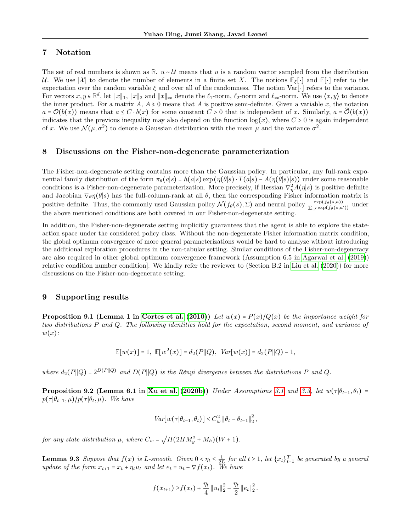# <span id="page-12-0"></span>7 Notation

The set of real numbers is shown as  $\mathbb{R}$ . u ∼ U means that u is a random vector sampled from the distribution U. We use  $|\mathcal{X}|$  to denote the number of elements in a finite set X. The notions  $\mathbb{E}_{\xi}[\cdot]$  and  $\mathbb{E}[\cdot]$  refer to the expectation over the random variable  $\xi$  and over all of the randomness. The notion Var[⋅] refers to the variance. For vectors  $x, y \in \mathbb{R}^d$ , let  $||x||_1$ ,  $||x||_2$  and  $||x||_{\infty}$  denote the  $\ell_1$ -norm,  $\ell_2$ -norm and  $\ell_{\infty}$ -norm. We use  $\langle x, y \rangle$  to denote the inner product. For a matrix  $A, A \ge 0$  means that A is positive semi-definite. Given a variable x, the notation  $a = \mathcal{O}(b(x))$  means that  $a \leq C \cdot b(x)$  for some constant  $C > 0$  that is independent of x. Similarly,  $a = \mathcal{O}(b(x))$ indicates that the previous inequality may also depend on the function  $log(x)$ , where  $C > 0$  is again independent of x. We use  $\mathcal{N}(\mu, \sigma^2)$  to denote a Gaussian distribution with the mean  $\mu$  and the variance  $\sigma^2$ .

## <span id="page-12-1"></span>8 Discussions on the Fisher-non-degenerate parameterization

The Fisher-non-degenerate setting contains more than the Gaussian policy. In particular, any full-rank exponential family distribution of the form  $\pi_{\theta}(a|s) = h(a|s) \exp(\eta(\theta|s) \cdot T(a|s) - A(\eta(\theta|s)|s))$  under some reasonable conditions is a Fisher-non-degenerate parameterization. More precisely, if Hessian  $\nabla^2_{\eta}A(\eta|s)$  is positive definite and Jacobian  $\nabla_{\theta} \eta(\theta|s)$  has the full-column-rank at all  $\theta$ , then the corresponding Fisher information matrix is positive definite. Thus, the commonly used Gaussian policy  $\mathcal{N}(f_{\theta}(s), \Sigma)$  and neural policy  $\frac{\exp(f_{\theta}(s,a))}{\sum_{a'} \exp(f_{\theta}(s,a'))}$  under the above mentioned conditions are both covered in our Fisher-non-degenerate setting.

In addition, the Fisher-non-degenerate setting implicitly guarantees that the agent is able to explore the stateaction space under the considered policy class. Without the non-degenerate Fisher information matrix condition, the global optimum convergence of more general parameterizations would be hard to analyze without introducing the additional exploration procedures in the non-tabular setting. Similar conditions of the Fisher-non-degeneracy are also required in other global optimum convergence framework (Assumption 6.5 in [Agarwal et al.](#page-8-7) [\(2019\)](#page-8-7)) relative condition number condition]. We kindly refer the reviewer to (Section B.2 in [Liu et al.](#page-9-12) [\(2020\)](#page-9-12)) for more discussions on the Fisher-non-degenerate setting.

### 9 Supporting results

<span id="page-12-2"></span>**Proposition 9.1 (Lemma 1 in [Cortes et al.](#page-8-22) [\(2010\)](#page-8-22))** Let  $w(x) = P(x)/Q(x)$  be the importance weight for two distributions P and Q. The following identities hold for the expectation, second moment, and variance of  $w(x)$ :

$$
\mathbb{E}[w(x)] = 1, \ \mathbb{E}[w^2(x)] = d_2(P||Q), \ Var[w(x)] = d_2(P||Q) - 1,
$$

where  $d_2(P||Q) = 2^{D(P||Q)}$  and  $D(P||Q)$  is the Rényi divergence between the distributions P and Q.

<span id="page-12-3"></span>**Proposition 9.2 (Lemma 6.1 in [Xu et al.](#page-10-3) [\(2020b\)](#page-10-3))** Under Assumptions [3.1](#page-3-0) and [3.3,](#page-4-0) let  $w(\tau | \theta_{t-1}, \theta_t)$  =  $p(\tau | \theta_{t-1}, \mu) / p(\tau | \theta_t, \mu)$ . We have

$$
Var[w(\tau|\theta_{t-1}, \theta_t)] \leq C_w^2 \|\theta_t - \theta_{t-1}\|_2^2,
$$

for any state distribution  $\mu$ , where  $C_w = \sqrt{H(2HM_g^2 + M_h)(W+1)}$ .

<span id="page-12-4"></span>**Lemma 9.3** Suppose that  $f(x)$  is L-smooth. Given  $0 < \eta_t \leq \frac{1}{2L}$  for all  $t \geq 1$ , let  $\{x_t\}_{t=1}^T$  be generated by a general update of the form  $x_{t+1} = x_t + \eta_t u_t$  and let  $e_t = u_t - \nabla f(x_t)$ . We have

$$
f(x_{t+1}) \geq f(x_t) + \frac{\eta_t}{4} ||u_t||_2^2 - \frac{\eta_t}{2} ||e_t||_2^2.
$$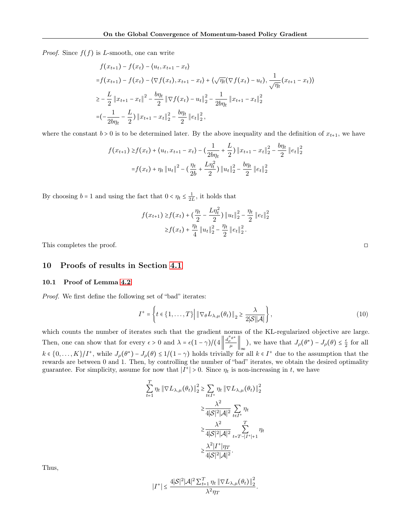*Proof.* Since  $f(f)$  is L-smooth, one can write

$$
f(x_{t+1}) - f(x_t) - \langle u_t, x_{t+1} - x_t \rangle
$$
  
\n
$$
= f(x_{t+1}) - f(x_t) - \langle \nabla f(x_t), x_{t+1} - x_t \rangle + \langle \sqrt{\eta_t} (\nabla f(x_t) - u_t), \frac{1}{\sqrt{\eta_t}} (x_{t+1} - x_t) \rangle
$$
  
\n
$$
\geq -\frac{L}{2} \|x_{t+1} - x_t\|^2 - \frac{b\eta_t}{2} \|\nabla f(x_t) - u_t\|^2 - \frac{1}{2b\eta_t} \|x_{t+1} - x_t\|^2
$$
  
\n
$$
= (-\frac{1}{2b\eta_t} - \frac{L}{2}) \|x_{t+1} - x_t\|^2 - \frac{b\eta_t}{2} \|e_t\|^2
$$

where the constant  $b > 0$  is to be determined later. By the above inequality and the definition of  $x_{t+1}$ , we have

$$
f(x_{t+1}) \ge f(x_t) + \langle u_t, x_{t+1} - x_t \rangle - \left( \frac{1}{2b\eta_t} + \frac{L}{2} \right) \| x_{t+1} - x_t \|_2^2 - \frac{b\eta_t}{2} \| e_t \|_2^2
$$

$$
= f(x_t) + \eta_t \| u_t \|_2^2 - \left( \frac{\eta_t}{2b} + \frac{L\eta_t^2}{2} \right) \| u_t \|_2^2 - \frac{b\eta_t}{2} \| e_t \|_2^2
$$

By choosing  $b = 1$  and using the fact that  $0 < \eta_t \leq \frac{1}{2L}$ , it holds that

$$
f(x_{t+1}) \ge f(x_t) + \left(\frac{\eta_t}{2} - \frac{L\eta_t^2}{2}\right) \|u_t\|_2^2 - \frac{\eta_t}{2} \|e_t\|_2^2
$$
  
 
$$
\ge f(x_t) + \frac{\eta_t}{4} \|u_t\|_2^2 - \frac{\eta_t}{2} \|e_t\|_2^2.
$$

This completes the proof. □

## 10 Proofs of results in Section [4.1](#page-4-2)

#### <span id="page-13-0"></span>10.1 Proof of Lemma [4.2](#page-5-0)

Proof. We first define the following set of "bad" iterates:

$$
I^{+} = \left\{ t \in \{1, \ldots, T\} \middle| \left\| \nabla_{\theta} L_{\lambda, \mu}(\theta_t) \right\|_2 \ge \frac{\lambda}{2|\mathcal{S}||\mathcal{A}|} \right\},\tag{10}
$$

.

which counts the number of iterates such that the gradient norms of the KL-regularized objective are large. Then, one can show that for every  $\epsilon > 0$  and  $\lambda = \epsilon (1 - \gamma)/(4 \left\| \frac{d_{\rho}^{\pi} \theta^*}{\mu} \right\|_{\infty})$ , we have that  $J_{\rho}(\theta^*) - J_{\rho}(\theta) \le \frac{\epsilon}{2}$  for all  $k \in \{0,\ldots,K\}/I^+$ , while  $J_\rho(\theta^*) - J_\rho(\theta) \leq 1/(1-\gamma)$  holds trivially for all  $k \in I^+$  due to the assumption that the rewards are between 0 and 1. Then, by controlling the number of "bad" iterates, we obtain the desired optimality guarantee. For simplicity, assume for now that  $|I^*| > 0$ . Since  $\eta_t$  is non-increasing in t, we have

$$
\sum_{t=1}^{T} \eta_t \|\nabla L_{\lambda,\mu}(\theta_t)\|_2^2 \ge \sum_{t \in I^+} \eta_t \|\nabla L_{\lambda,\mu}(\theta_t)\|_2^2
$$

$$
\ge \frac{\lambda^2}{4|\mathcal{S}|^2|\mathcal{A}|^2} \sum_{t \in I^+} \eta_t
$$

$$
\ge \frac{\lambda^2}{4|\mathcal{S}|^2|\mathcal{A}|^2} \sum_{t=T-|I^+|+1}^{T} \eta_t
$$

$$
\ge \frac{\lambda^2 |I^+|\eta_T}{4|\mathcal{S}|^2|\mathcal{A}|^2}.
$$

Thus,

$$
\left|I^{+}\right| \leq \frac{4|\mathcal{S}|^{2}|\mathcal{A}|^{2} \sum_{t=1}^{T} \eta_{t} \left\|\nabla L_{\lambda,\mu}(\theta_{t})\right\|_{2}^{2}}{\lambda^{2} \eta_{T}}
$$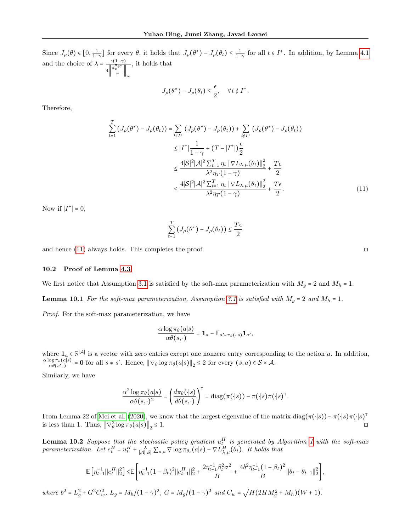Since  $J_{\rho}(\theta) \in [0, \frac{1}{1-\gamma}]$  for every  $\theta$ , it holds that  $J_{\rho}(\theta^*) - J_{\rho}(\theta_t) \leq \frac{1}{1-\gamma}$  for all  $t \in I^+$ . In addition, by Lemma [4.1](#page-5-2) and the choice of  $\lambda = \frac{\epsilon(1-\gamma)}{\|\mathbf{d}^{\pi} \mathbf{e}^*\|}$  $4\left\Vert \frac{d_{\rho}^{\pi}\theta^*}{\mu}\right\Vert_{\infty}$ , it holds that

$$
J_{\rho}(\theta^*) - J_{\rho}(\theta_t) \leq \frac{\epsilon}{2}, \quad \forall t \notin I^+.
$$

Therefore,

$$
\sum_{t=1}^{T} \left( J_{\rho}(\theta^{*}) - J_{\rho}(\theta_{t}) \right) = \sum_{t \in I^{+}} \left( J_{\rho}(\theta^{*}) - J_{\rho}(\theta_{t}) \right) + \sum_{t \notin I^{+}} \left( J_{\rho}(\theta^{*}) - J_{\rho}(\theta_{t}) \right)
$$
\n
$$
\leq |I^{+}| \frac{1}{1 - \gamma} + (T - |I^{+}|) \frac{\epsilon}{2}
$$
\n
$$
\leq \frac{4|S|^{2}|\mathcal{A}|^{2} \sum_{t=1}^{T} \eta_{t} \|\nabla L_{\lambda,\mu}(\theta_{t})\|_{2}^{2}}{\lambda^{2} \eta_{T}(1 - \gamma)} + \frac{T\epsilon}{2}
$$
\n
$$
\leq \frac{4|S|^{2}|\mathcal{A}|^{2} \sum_{t=1}^{T} \eta_{t} \|\nabla L_{\lambda,\mu}(\theta_{t})\|_{2}^{2}}{\lambda^{2} \eta_{T}(1 - \gamma)} + \frac{T\epsilon}{2}.
$$
\n(11)

Now if  $|I^+| = 0$ ,

$$
\sum_{t=1}^{T} \left( J_{\rho}(\theta^*) - J_{\rho}(\theta_t) \right) \leq \frac{T\epsilon}{2}
$$

and hence  $(11)$  always holds. This completes the proof.  $\square$ 

 $\overline{a}$ 

#### <span id="page-14-1"></span>10.2 Proof of Lemma [4.3](#page-5-1)

We first notice that Assumption [3.1](#page-3-0) is satisfied by the soft-max parameterization with  $M_g = 2$  and  $M_h = 1$ .

**Lemma 10.1** For the soft-max parameterization, Assumption [3.1](#page-3-0) is satisfied with  $M_g = 2$  and  $M_h = 1$ .

Proof. For the soft-max parameterization, we have

$$
\frac{\alpha \log \pi_{\theta}(a|s)}{\alpha \theta(s,\cdot)} = \mathbf{1}_a - \mathbb{E}_{a' \sim \pi_{\theta}(\cdot|s)} \mathbf{1}_{a'},
$$

where  $\mathbf{1}_a \in \mathbb{R}^{|\mathcal{A}|}$  is a vector with zero entries except one nonzero entry corresponding to the action a. In addition,  $\alpha \log {\pi_\theta(a|s)}$  $\frac{\log \pi_{\theta}(a|s)}{\alpha \theta(s',\cdot)} = \mathbf{0}$  for all  $s \neq s'$ . Hence,  $\|\nabla_{\theta}\log \pi_{\theta}(a|s)\|_{2} \leq 2$  for every  $(s, a) \in S \times \mathcal{A}$ .

Similarly, we have

$$
\frac{\alpha^2 \log \pi_\theta(a|s)}{\alpha \theta(s,\cdot)^2} = \left(\frac{d \pi_\theta(\cdot|s)}{d \theta(s,\cdot)}\right)^\top = \text{diag}(\pi(\cdot|s)) - \pi(\cdot|s)\pi(\cdot|s)^\top.
$$

From Lemma 22 of [Mei et al.](#page-9-21) [\(2020\)](#page-9-21), we know that the largest eigenvalue of the matrix  $\text{diag}(\pi(\cdot|s)) - \pi(\cdot|s)\pi(\cdot|s)^\intercal$ is less than 1. Thus,  $\left\|\nabla_{\theta}^{2}\log\pi_{\theta}(a|s)\right\|_{2}$  $\leq 1$ .

<span id="page-14-3"></span>**Lemma [1](#page-4-1)0.2** Suppose that the stochastic policy gradient  $u_t^H$  is generated by Algorithm 1 with the soft-max parameterization. Let  $e_t^H = u_t^H + \frac{\lambda}{|\mathcal{A}||\mathcal{S}|} \sum_{s,a} \nabla \log \pi_{\theta_t}(a|s) - \nabla L_{\lambda,\mu}^H(\theta_t)$ . It holds that

$$
\mathbb{E}\left[\eta_{t-1}^{-1}\|e_t^H\|_2^2\right] \leq \mathbb{E}\left[\eta_{t-1}^{-1}(1-\beta_t)^2\|e_{t-1}^H\|_2^2 + \frac{2\eta_{t-1}^{-1}\beta_t^2\sigma^2}{B} + \frac{4b^2\eta_{t-1}^{-1}(1-\beta_t)^2}{B}\|\theta_t - \theta_{t-1}\|_2^2\right],
$$
  
where  $b^2 = L_g^2 + G^2 C_w^2$ ,  $L_g = M_h/(1-\gamma)^2$ ,  $G = M_g/(1-\gamma)^2$  and  $C_w = \sqrt{H(2HM_g^2 + M_h)(W+1)}$ .

<span id="page-14-2"></span><span id="page-14-0"></span>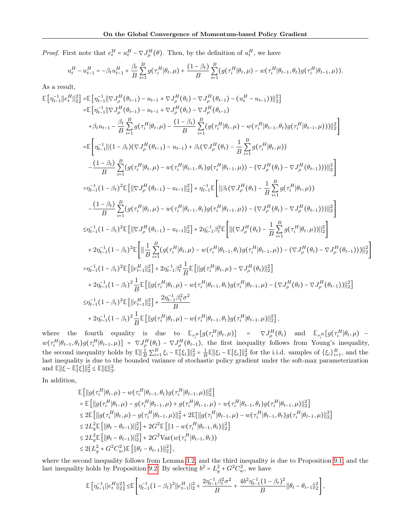*Proof.* First note that  $e_t^H = u_t^H - \nabla J_\mu^H(\theta)$ . Then, by the definition of  $u_t^H$ , we have

$$
u_t^H - u_{t-1}^H = -\beta_t u_{t-1}^H + \frac{\beta_t}{B} \sum_{i=1}^B g(\tau_i^H | \theta_t, \mu) + \frac{(1 - \beta_t)}{B} \sum_{i=1}^B (g(\tau_i^H | \theta_t, \mu) - w(\tau_i^H | \theta_{t-1}, \theta_t) g(\tau_i^H | \theta_{t-1}, \mu)).
$$

As a result,

$$
\begin{split} \mathbb{E}\left[\eta_{t-1}^{-1}\|\boldsymbol{e}_{t}^{H}\|_{2}^{2}\right] & = & \mathbb{E}\left[\eta_{t-1}^{-1}\|\nabla J_{\rho}^{H}(\theta_{t-1})-u_{t-1}+\nabla J_{\rho}^{H}(\theta_{t})-\nabla J_{\rho}^{H}(\theta_{t-1})-(u_{t}^{H}-u_{t-1}))\|_{2}^{2}\right] \\ & = & \mathbb{E}\left[\eta_{t-1}^{-1}\|\nabla J_{\rho}^{H}(\theta_{t-1})-u_{t-1}+\nabla J_{\rho}^{H}(\theta_{t})-\nabla J_{\rho}^{H}(\theta_{t-1})-(u_{t}^{H}-u_{t-1}))\|_{2}^{2}\right] \\ & +\beta_{t}u_{t-1}-\frac{\beta_{t}}{B}\sum_{i=1}^{B}g\left(\tau_{i}^{H}|\theta_{t},\mu\right)-\frac{(1-\beta_{t})}{B}\sum_{i=1}^{B}(g\left(\tau_{i}^{H}|\theta_{t},\mu\right)-w\left(\tau_{i}^{H}|\theta_{t-1},\theta_{t})g\left(\tau_{i}^{H}|\theta_{t-1},\mu\right))\|_{2}^{2}\right] \\ & = & \mathbb{E}\left[\eta_{t-1}^{-1}\| \left(1-\beta_{t}\right)\left(\nabla J_{\rho}^{H}(\theta_{t-1})-u_{t-1}\right)+\beta_{t}\left(\nabla J_{\rho}^{H}(\theta_{t})-\frac{1}{B}\sum_{i=1}^{B}g\left(\tau_{i}^{H}|\theta_{t},\mu\right)\right) \\ & -\frac{(1-\beta_{t})}{B}\sum_{i=1}^{B}(g\left(\tau_{i}^{H}|\theta_{t},\mu\right)-w\left(\tau_{i}^{H}|\theta_{t-1},\theta_{t})g\left(\tau_{i}^{H}|\theta_{t-1},\mu\right)\right)-\left(\nabla J_{\rho}^{H}(\theta_{t})-\nabla J_{\rho}^{H}(\theta_{t-1})\right))\|_{2}^{2}\right] \\ & = & \eta_{t-1}^{-1}(1-\beta_{t})^{2}\mathbb{E}\left[\|\nabla J_{\rho}^{H}(\theta_{t-1})-u_{t-1}\|_{2}^{2}\right]+\eta_{t-1}^{-1}\mathbb{E}\left[\|\beta_{t
$$

where the fourth equality is due to  $\mathbb{E}_{\tau_i^H}[g(\tau_i^H | \theta_t, \mu)] = \nabla J_{\rho}^H(\theta_t)$  and  $\mathbb{E}_{\tau_i^H}[g(\tau_i^H | \theta_t, \mu)$   $w(\tau_i^H|\theta_{t-1},\theta_t)g(\tau_i^H|\theta_{t-1},\mu) = \nabla J_{\rho}^H(\theta_t) - \nabla J_{\rho}^H(\theta_{t-1}),$  the first inequality follows from Young's inequality, the second inequality holds by  $\mathbb{E} \left\| \frac{1}{B} \sum_{i=1}^{B} \xi_i - \mathbb{E}[\xi_i] \right\|_2^2 = \frac{1}{B} \mathbb{E} \left\| \xi_i - \mathbb{E}[\xi_i] \right\|_2^2$  for the i.i.d. samples of  $\{\xi_i\}_{i=1}^B$ , and the last inequality is due to the bounded variance of stochastic policy gradient under the soft-max parameterization and  $\mathbb{E}||\xi - \mathbb{E}[\xi]||_2^2 \le \mathbb{E}||\xi||_2^2$ .

In addition,

$$
\label{eq:2.1} \begin{aligned} &\mathbb{E}\left[\left\|g\big(\tau_{i}^{H}|\theta_{t},\mu\big)-w\big(\tau_{i}^{H}|\theta_{t-1},\theta_{t}\big)g\big(\tau_{i}^{H}|\theta_{t-1},\mu\big)\right\|_{2}^{2}\right] \\ &=\mathbb{E}\left[\left\|g\big(\tau_{i}^{H}|\theta_{t},\mu\big)-g\big(\tau_{i}^{H}|\theta_{t-1},\mu\big)+g\big(\tau_{i}^{H}|\theta_{t-1},\mu\big)-w\big(\tau_{i}^{H}|\theta_{t-1},\theta_{t}\big)g\big(\tau_{i}^{H}|\theta_{t-1},\mu\big)\right\|_{2}^{2}\right] \\ &\leq 2\mathbb{E}\left[\left\|g\big(\tau_{i}^{H}|\theta_{t},\mu\big)-g\big(\tau_{i}^{H}|\theta_{t-1},\mu\big)\right\|_{2}^{2}+2\mathbb{E}\big[\left\|g\big(\tau_{i}^{H}|\theta_{t-1},\mu\big)-w\big(\tau_{i}^{H}|\theta_{t-1},\theta_{t}\big)g\big(\tau_{i}^{H}|\theta_{t-1},\mu\big)\right\|_{2}^{2}\right] \\ &\leq 2L_{g}^{2}\mathbb{E}\left[\left\||\theta_{t}-\theta_{t-1}\big)\right\|_{2}^{2}\right]+2G^{2}\mathbb{E}\left[\left\|1-w\big(\tau_{i}^{H}|\theta_{t-1},\theta_{t}\big)\right\|_{2}^{2}\right] \\ &\leq 2L_{g}^{2}\mathbb{E}\left[\left\||\theta_{t}-\theta_{t-1}\big)\right\|_{2}^{2}\right]+2G^{2}\text{Var}\big(w\big(\tau_{i}^{H}|\theta_{t-1},\theta_{t}\big)\big) \\ &\leq 2\big(L_{g}^{2}+G^{2}C_{w}^{2}\big)\mathbb{E}\left[\left\||\theta_{t}-\theta_{t-1}\big)\right\|_{2}^{2}\right], \end{aligned}
$$

where the second inequality follows from Lemma [3.2,](#page-3-3) and the third inequality is due to Proposition [9.1,](#page-12-2) and the last inequality holds by Proposition [9.2.](#page-12-3) By selecting  $b^2 = L_g^2 + G^2 C_w^2$ , we have

$$
\mathbb{E}\left[\eta_{t-1}^{-1}\big\|e_{t}^{H}\big\|_{2}^{2}\right]\leq\mathbb{E}\left[\eta_{t-1}^{-1}\big(1-\beta_{t}\big)^{2}\big\|e_{t-1}^{H}\big\|_{2}^{2}+\frac{2\eta_{t-1}^{-1}\beta_{t}^{2}\sigma^{2}}{B}+\frac{4b^{2}\eta_{t-1}^{-1}(1-\beta_{t})^{2}}{B}\big\|\theta_{t}-\theta_{t-1}\big\|_{2}^{2}\right],
$$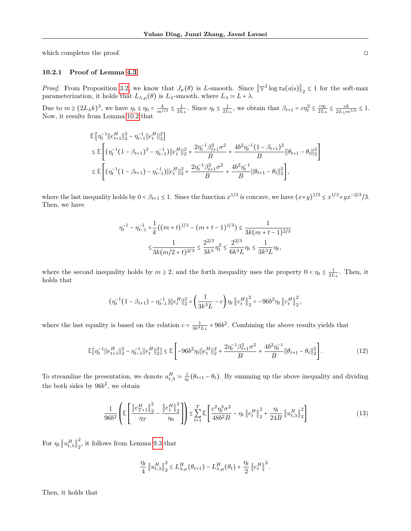which completes the proof.  $\Box$ 

#### 10.2.1 Proof of Lemma [4.3](#page-5-1)

*Proof.* From Proposition [3.2,](#page-3-3) we know that  $J_{\mu}(\theta)$  is L-smooth. Since  $\|\nabla^2 \log \pi_{\theta}(a|s)\|_2 \leq 1$  for the soft-max parameterization, it holds that  $L_{\lambda,\mu}(\theta)$  is  $L_{\lambda}$ -smooth, where  $L_{\lambda} = L + \lambda$ .

Due to  $m \ge (2L_\lambda k)^3$ , we have  $\eta_t \le \eta_0 = \frac{k}{m^{1/3}} \le \frac{1}{2L_\lambda}$ . Since  $\eta_t \le \frac{1}{2L_\lambda}$ , we obtain that  $\beta_{t+1} = c\eta_t^2 \le \frac{c\eta_t}{2L_\lambda}$  $\frac{c\eta_t}{2L_\lambda} \leq \frac{ck}{2L_\lambda m^{1/3}} \leq 1.$ Now, it results from Lemma [10.2](#page-14-3) that

$$
\mathbb{E}\Big[\eta_t^{-1}||e_{t+1}^H||_2^2 - \eta_{t-1}^{-1}||e_t^H||_2^2\Big] \n\leq \mathbb{E}\Big[\big(\eta_t^{-1}(1-\beta_{t+1})^2 - \eta_{t-1}^{-1}\big)||e_t^H||_2^2 + \frac{2\eta_t^{-1}\beta_{t+1}^2\sigma^2}{B} + \frac{4b^2\eta_t^{-1}(1-\beta_{t+1})^2}{B}||\theta_{t+1} - \theta_t||_2^2\Big] \n\leq \mathbb{E}\Big[\big(\eta_t^{-1}(1-\beta_{t+1}) - \eta_{t-1}^{-1}\big)||e_t^H||_2^2 + \frac{2\eta_t^{-1}\beta_{t+1}^2\sigma^2}{B} + \frac{4b^2\eta_t^{-1}}{B}||\theta_{t+1} - \theta_t||_2^2\Big],
$$

where the last inequality holds by  $0 < \beta_{t+1} \leq 1$ . Since the function  $x^{1/3}$  is concave, we have  $(x+y)^{1/3} \leq x^{1/3} + y^{1/3}$ . Then, we have

$$
\begin{aligned} \eta_t^{-1} - \eta_{t-1}^{-1} &= \frac{1}{k} \big( (m+t)^{1/3} - (m+t-1)^{1/3} \big) \le \frac{1}{3k(m+t-1)^{2/3}} \\ &\le \frac{1}{3k(m/2+t)^{2/3}} \le \frac{2^{2/3}}{3k^3} \eta_t^2 \le \frac{2^{2/3}}{6k^3L} \eta_t \le \frac{1}{3k^3L} \eta_t, \end{aligned}
$$

where the second inequality holds by  $m \geq 2$ , and the forth inequality uses the property  $0 < \eta_t \leq \frac{1}{2L_\lambda}$ . Then, it holds that

$$
\left(\eta_t^{-1}\big(1-\beta_{t+1}\big)-\eta_{t-1}^{-1}\big)\big|\big|e_t^H\big|\big|_2^2=\left(\frac{1}{3k^3L}-c\right)\eta_t\left\|e_t^H\right\|_2^2=-96b^2\eta_t\left\|e_t^H\right\|_2^2,
$$

where the last equality is based on the relation  $c = \frac{1}{3k^3 L_{\lambda}} + 96b^2$ . Combining the above results yields that

$$
\mathbb{E}[\eta_t^{-1}||e_{t+1}^H||_2^2 - \eta_{t-1}^{-1}||e_t^H||_2^2] \le \mathbb{E}\left[-96b^2\eta_t||e_t^H||_2^2 + \frac{2\eta_t^{-1}\beta_{t+1}^2\sigma^2}{B} + \frac{4b^2\eta_t^{-1}}{B}||\theta_{t+1} - \theta_t||_2^2\right].\tag{12}
$$

To streamline the presentation, we denote  $u_{t,\lambda}^H := \frac{1}{\eta_t} (\theta_{t+1} - \theta_t)$ . By summing up the above inequality and dividing the both sides by  $96b^2$ , we obtain

$$
\frac{1}{96b^2} \left( \mathbb{E} \left[ \frac{\left\| e_{T+1}^H \right\|_2^2}{\eta_T} - \frac{\left\| e_1^H \right\|_2^2}{\eta_0} \right] \right) \le \sum_{t=1}^T \mathbb{E} \left[ \frac{c^2 \eta_t^3 \sigma^2}{48b^2 B} - \eta_t \left\| e_t^H \right\|_2^2 + \frac{\eta_t}{24B} \left\| u_{t,\lambda}^H \right\|_2^2 \right] \tag{13}
$$

For  $\eta_t \left\| u_{t,\lambda}^H \right\|_2^2$  $\frac{2}{2}$ , it follows from Lemma [9.3](#page-12-4) that

<span id="page-16-0"></span>
$$
\frac{\eta_t}{4} \left\| u_{t,\lambda}^H \right\|_2^2 \leq L_{\lambda,\mu}^H(\theta_{t+1}) - L_{\lambda,\mu}^H(\theta_t) + \frac{\eta_t}{2} \left\| e_t^H \right\|^2.
$$

Then, it holds that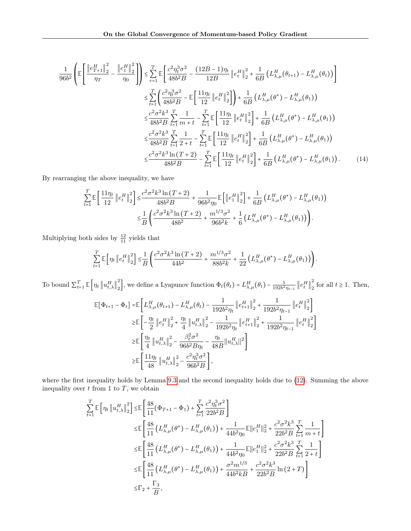$$
\frac{1}{96b^{2}} \left( \mathbb{E} \left[ \frac{\left\| e_{T+1}^{H} \right\|_{2}^{2}}{\eta_{T}} - \frac{\left\| e_{1}^{H} \right\|_{2}^{2}}{\eta_{0}} \right] \right) \leq \sum_{\tau=1}^{T} \mathbb{E} \left[ \frac{c^{2} \eta_{t}^{3} \sigma^{2}}{48b^{2} B} - \frac{(12B - 1)\eta_{t}}{12B} \left\| e_{t}^{H} \right\|_{2}^{2} + \frac{1}{6B} \left( L_{\lambda,\mu}^{H}(\theta_{t+1}) - L_{\lambda,\mu}^{H}(\theta_{t}) \right) \right] \n\leq \sum_{t=1}^{T} \left( \frac{c^{2} \eta_{t}^{3} \sigma^{2}}{48b^{2} B} - \mathbb{E} \left[ \frac{11\eta_{t}}{12} \left\| e_{t}^{H} \right\|_{2}^{2} \right] \right) + \frac{1}{6B} \left( L_{\lambda,\mu}^{H}(\theta^{*}) - L_{\lambda,\mu}^{H}(\theta_{1}) \right) \n\leq \frac{c^{2} \sigma^{2} k^{3}}{48b^{2} B} \sum_{t=1}^{T} \frac{1}{m+t} - \sum_{t=1}^{T} \mathbb{E} \left[ \frac{11\eta_{t}}{12} \left\| e_{t}^{H} \right\|_{2}^{2} \right] + \frac{1}{6B} \left( L_{\lambda,\mu}^{H}(\theta^{*}) - L_{\lambda,\mu}^{H}(\theta_{1}) \right) \n\leq \frac{c^{2} \sigma^{2} k^{3}}{48b^{2} B} \sum_{t=1}^{T} \frac{1}{2+t} - \sum_{t=1}^{T} \mathbb{E} \left[ \frac{11\eta_{t}}{12} \left\| e_{t}^{H} \right\|_{2}^{2} \right] + \frac{1}{6B} \left( L_{\lambda,\mu}^{H}(\theta^{*}) - L_{\lambda,\mu}^{H}(\theta_{1}) \right) \n\leq \frac{c^{2} \sigma^{2} k^{3} \ln(T+2)}{48b^{2} B} - \sum_{t=1}^{T} \mathbb{E} \left[ \frac{11\eta_{t}}{12} \left
$$

By rearranging the above inequality, we have

$$
\sum_{t=1}^{T} \mathbb{E} \left[ \frac{11 \eta_t}{12} \left\| e_t^H \right\|_2^2 \right] \leq \frac{c^2 \sigma^2 k^3 \ln(T+2)}{48b^2 B} + \frac{1}{96b^2 \eta_0} \mathbb{E} \left[ \left\| e_1^H \right\|_2^2 \right] + \frac{1}{6B} \left( L_{\lambda,\mu}^H(\theta^*) - L_{\lambda,\mu}^H(\theta_1) \right) \n\leq \frac{1}{B} \left( \frac{c^2 \sigma^2 k^3 \ln(T+2)}{48b^2} + \frac{m^{1/3} \sigma^2}{96b^2 k} + \frac{1}{6} \left( L_{\lambda,\mu}^H(\theta^*) - L_{\lambda,\mu}^H(\theta_1) \right) \right).
$$

Multiplying both sides by  $\frac{12}{11}$  yields that

$$
\sum_{t=1}^T \mathbb{E}\left[\eta_t \left\| e_t^H \right\|_2^2 \right] \leq \frac{1}{B} \left( \frac{c^2 \sigma^2 k^3 \ln(T+2)}{44b^2} + \frac{m^{1/3} \sigma^2}{88b^2 k} + \frac{1}{22} \left( L_{\lambda,\mu}^H(\theta^*) - L_{\lambda,\mu}^H(\theta_1) \right) \right).
$$

To bound  $\sum_{t=1}^{T} \mathbb{E}\left[\eta_t \left\|u_{t,\lambda}^H\right\|_2^2\right]$ <sup>2</sup>/<sub>2</sub>, we define a Lyapunov function  $\Phi_t(\theta_t) = L_{\lambda,\mu}^H(\theta_t) - \frac{1}{192b^2\eta_{t-1}} \left\| e_t^H \right\|_2^2$  $\frac{2}{2}$  for all  $t \ge 1$ . Then,

$$
\begin{split} \mathbb{E}[\Phi_{t+1} - \Phi_t] = & \mathbb{E}\left[L_{\lambda,\mu}^H(\theta_{t+1}) - L_{\lambda,\mu}^H(\theta_t) - \frac{1}{192b^2\eta_t} \left\|e_{t+1}^H\right\|_2^2 + \frac{1}{192b^2\eta_{t-1}} \left\|e_t^H\right\|_2^2\right] \\ \geq & \mathbb{E}\left[-\frac{\eta_t}{2}\left\|e_t^H\right\|_2^2 + \frac{\eta_t}{4}\left\|u_{t,\lambda}^H\right\|_2^2 - \frac{1}{192b^2\eta_t} \left\|e_{t+1}^H\right\|_2^2 + \frac{1}{192b^2\eta_{t-1}} \left\|e_t^H\right\|_2^2\right] \\ \geq & \mathbb{E}\left[\frac{\eta_t}{4}\left\|u_{t,\lambda}^H\right\|_2^2 - \frac{\beta_t^2\sigma^2}{96b^2B\eta_t} - \frac{\eta_t}{48B}\left\|u_{t,\lambda}^H\right\|^2\right] \\ \geq & \mathbb{E}\left[\frac{11\eta_t}{48}\left\|u_{t,\lambda}^H\right\|_2^2 - \frac{c^2\eta_t^3\sigma^2}{96b^2B}\right], \end{split}
$$

where the first inequality holds by Lemma [9.3](#page-12-4) and the second inequality holds due to [\(12\)](#page-16-0). Summing the above inequality over  $t$  from 1 to  $T$ , we obtain

$$
\sum_{t=1}^{T} \mathbb{E} \left[ \eta_{t} \left\| u_{t,\lambda}^{H} \right\|_{2}^{2} \right] \leq \mathbb{E} \left[ \frac{48}{11} (\Phi_{T+1} - \Phi_{1}) + \sum_{t=1}^{T} \frac{c^{2} \eta_{t}^{3} \sigma^{2}}{22b^{2} B} \right]
$$
\n
$$
\leq \mathbb{E} \left[ \frac{48}{11} \left( L_{\lambda,\mu}^{H} (\theta^{*}) - L_{\lambda,\mu}^{H} (\theta_{1}) \right) + \frac{1}{44b^{2} \eta_{0}} \mathbb{E} ||e_{1}^{H}||_{2}^{2} + \frac{c^{2} \sigma^{2} k^{3}}{22b^{2} B} \sum_{t=1}^{T} \frac{1}{m+t} \right]
$$
\n
$$
\leq \mathbb{E} \left[ \frac{48}{11} \left( L_{\lambda,\mu}^{H} (\theta^{*}) - L_{\lambda,\mu}^{H} (\theta_{1}) \right) + \frac{1}{44b^{2} \eta_{0}} \mathbb{E} ||e_{1}^{H}||_{2}^{2} + \frac{c^{2} \sigma^{2} k^{3}}{22b^{2} B} \sum_{t=1}^{T} \frac{1}{2+t} \right]
$$
\n
$$
\leq \mathbb{E} \left[ \frac{48}{11} \left( L_{\lambda,\mu}^{H} (\theta^{*}) - L_{\lambda,\mu}^{H} (\theta_{1}) \right) + \frac{\sigma^{2} m^{1/3}}{44b^{2} k B} + \frac{c^{2} \sigma^{2} k^{3}}{22b^{2} B} \ln (2+T) \right]
$$
\n
$$
\leq \Gamma_{2} + \frac{\Gamma_{3}}{B},
$$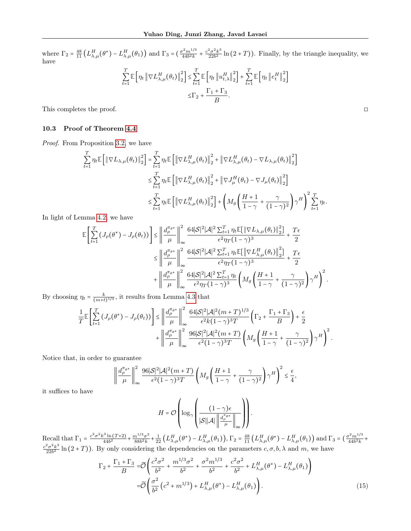where  $\Gamma_2 = \frac{48}{11} \left( L_{\lambda,\mu}^H(\theta^*) - L_{\lambda,\mu}^H(\theta_1) \right)$  and  $\Gamma_3 = \left( \frac{\sigma^2 m^{1/3}}{44b^2k} + \frac{c^2 \sigma^2 k^3}{22b^2} \right)$  $\frac{2\sigma^2 k^3}{22b^2}$  ln  $(2+T)$ ). Finally, by the triangle inequality, we have

$$
\sum_{t=1}^{T} \mathbb{E} \left[ \eta_t \left\| \nabla L_{\lambda,\mu}^H(\theta_t) \right\|_2^2 \right] \leq \sum_{t=1}^{T} \mathbb{E} \left[ \eta_t \left\| u_{t,\lambda}^H \right\|_2^2 \right] + \sum_{t=1}^{T} \mathbb{E} \left[ \eta_t \left\| e_t^H \right\|_2^2 \right] \leq \Gamma_2 + \frac{\Gamma_1 + \Gamma_3}{B}.
$$

This completes the proof.

## <span id="page-18-0"></span>10.3 Proof of Theorem [4.4](#page-6-0)

Proof. From Proposition [3.2,](#page-3-3) we have

$$
\sum_{t=1}^{T} \eta_t \mathbb{E} \left[ \left\| \nabla L_{\lambda,\mu}(\theta_t) \right\|_2^2 \right] = \sum_{t=1}^{T} \eta_t \mathbb{E} \left[ \left\| \nabla L_{\lambda,\mu}^H(\theta_t) \right\|_2^2 + \left\| \nabla L_{\lambda,\mu}^H(\theta_t) - \nabla L_{\lambda,\mu}(\theta_t) \right\|_2^2 \right]
$$
\n
$$
\leq \sum_{t=1}^{T} \eta_t \mathbb{E} \left[ \left\| \nabla L_{\lambda,\mu}^H(\theta_t) \right\|_2^2 + \left\| \nabla J_{\mu}^H(\theta_t) - \nabla J_{\mu}(\theta_t) \right\|_2^2 \right]
$$
\n
$$
\leq \sum_{t=1}^{T} \eta_t \mathbb{E} \left[ \left\| \nabla L_{\lambda,\mu}^H(\theta_t) \right\|_2^2 \right] + \left( M_g \left( \frac{H+1}{1-\gamma} + \frac{\gamma}{(1-\gamma)^2} \right) \gamma^H \right)^2 \sum_{t=1}^{T} \eta_t.
$$

In light of Lemma [4.2,](#page-5-0) we have

$$
\begin{split} \mathbb{E}\left[\sum_{t=1}^T\left(J_\rho(\theta^*)-J_\rho(\theta_t)\right)\right] &\leq \left\|\frac{d_\rho^{\pi_{\theta^*}}}{\mu}\right\|_\infty^2\frac{64|\mathcal{S}|^2|\mathcal{A}|^2\sum_{t=1}^T\eta_t\mathbb{E}[\|\nabla L_{\lambda,\mu}(\theta_t)\|_2^2]}{\epsilon^2\eta_T(1-\gamma)^3}+\frac{T\epsilon}{2}\\ &\leq \left\|\frac{d_\rho^{\pi_{\theta^*}}}{\mu}\right\|_\infty^2\frac{64|\mathcal{S}|^2|\mathcal{A}|^2\sum_{t=1}^T\eta_t\mathbb{E}[\|\nabla L_{\lambda,\mu}^H(\theta_t)\|_2^2]}{\epsilon^2\eta_T(1-\gamma)^3}+\frac{T\epsilon}{2}\\ &\qquad\qquad+\left\|\frac{d_\rho^{\pi_{\theta^*}}}{\mu}\right\|_\infty^2\frac{64|\mathcal{S}|^2|\mathcal{A}|^2\sum_{t=1}^T\eta_t}{\epsilon^2\eta_T(1-\gamma)^3}\left(M_g\left(\frac{H+1}{1-\gamma}+\frac{\gamma}{(1-\gamma)^2}\right)\gamma^H\right)^2. \end{split}
$$

By choosing  $\eta_t = \frac{k}{(m+t)^{1/3}}$ , it results from Lemma [4.3](#page-5-1) that

$$
\frac{1}{T}\mathbb{E}\left[\sum_{t=1}^T\left(J_\rho(\theta^*)-J_\rho(\theta_t)\right)\right] \le \left\|\frac{d_\rho^{\pi_{\theta^*}}}{\mu}\right\|_\infty^2 \frac{64|\mathcal{S}|^2|\mathcal{A}|^2(m+T)^{1/3}}{\epsilon^2k(1-\gamma)^3T}\left(\Gamma_2+\frac{\Gamma_1+\Gamma_3}{B}\right)+\frac{\epsilon}{2} \\ +\left\|\frac{d_\rho^{\pi_{\theta^*}}}{\mu}\right\|_\infty^2 \frac{96|\mathcal{S}|^2|\mathcal{A}|^2(m+T)}{\epsilon^2(1-\gamma)^3T}\left(M_g\left(\frac{H+1}{1-\gamma}+\frac{\gamma}{(1-\gamma)^2}\right)\gamma^H\right)^2.
$$

Notice that, in order to guarantee

$$
\left\| \frac{d_{\rho}^{\pi_{\theta^*}}}{\mu} \right\|_{\infty}^2 \frac{96|\mathcal{S}|^2|\mathcal{A}|^2(m+T)}{\epsilon^2 (1-\gamma)^3 T} \left( M_g \left( \frac{H+1}{1-\gamma} + \frac{\gamma}{(1-\gamma)^2} \right) \gamma^H \right)^2 \le \frac{\epsilon}{4},
$$

it suffices to have

<span id="page-18-1"></span>
$$
H = \mathcal{O}\left(\log_{\gamma}\left(\frac{(1-\gamma)\epsilon}{|\mathcal{S}||\mathcal{A}| \left\|\frac{d_{\rho}^{\pi_{\theta^*}}}{\mu}\right\|_{\infty}}\right)\right).
$$

Recall that  $\Gamma_1 = \frac{c^2 \sigma^2 k^3 \ln(T+2)}{44b^2} + \frac{m^{1/3} \sigma^2}{88b^2 k}$  $\frac{n^{1/3}\sigma^2}{88b^2k}$  +  $\frac{1}{22}$   $\left( L_{\lambda,\mu}^H(\theta^*) - L_{\lambda,\mu}^H(\theta_1) \right)$ ,  $\Gamma_2 = \frac{48}{11} \left( L_{\lambda,\mu}^H(\theta^*) - L_{\lambda,\mu}^H(\theta_1) \right)$  and  $\Gamma_3 = \left( \frac{\sigma^2 m^{1/3}}{44b^2k} + \right)$  $c^2\sigma^2k^3$  $\frac{2\sigma^2 k^{\circ}}{22b^2}$  ln  $(2+T)$ ). By only considering the dependencies on the parameters  $c, \sigma, b, \lambda$  and  $m$ , we have

$$
\Gamma_2 + \frac{\Gamma_1 + \Gamma_3}{B} = \widetilde{\mathcal{O}} \left( \frac{c^2 \sigma^2}{b^2} + \frac{m^{1/3} \sigma^2}{b^2} + \frac{\sigma^2 m^{1/3}}{b^2} + \frac{c^2 \sigma^2}{b^2} + L_{\lambda,\mu}^H(\theta^*) - L_{\lambda,\mu}^H(\theta_1) \right)
$$
  

$$
= \widetilde{\mathcal{O}} \left( \frac{\sigma^2}{b^2} \left( c^2 + m^{1/3} \right) + L_{\lambda,\mu}^H(\theta^*) - L_{\lambda,\mu}^H(\theta_1) \right). \tag{15}
$$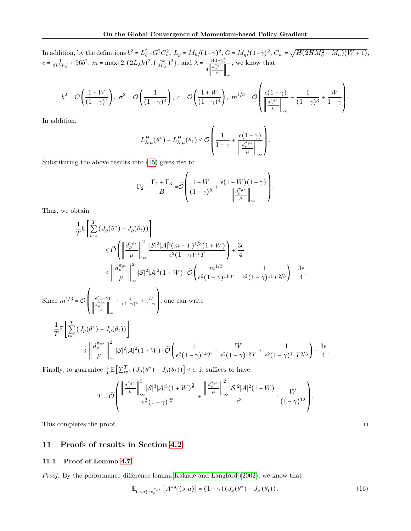In addition, by the definitions  $b^2 = L_g^2 + G^2 C_w^2$ ,  $L_g = M_h/(1-\gamma)^2$ ,  $G = M_g/(1-\gamma)^2$ ,  $C_w = \sqrt{H(2HM_g^2 + M_h)(W+1)}$ ,  $c = \frac{1}{3k^3L_{\lambda}} + 96b^2$ ,  $m = \max\{2, (2L_{\lambda}k)^3, (\frac{ck}{2L_{\lambda}})^3\}$ , and  $\lambda = \frac{\epsilon(1-\gamma)}{\|\mathbf{d}_{\rho}^{\pi_{\rho}\mathbf{e}*\}}$  $4\left\Vert \frac{d_{\rho}^{\pi}\theta^*}{\mu}\right\Vert_{\infty}$ , we know that  $\sqrt{2}$  $\lambda$ 

$$
b^2 = \mathcal{O}\left(\frac{1+W}{(1-\gamma)^4}\right), \ \sigma^2 = \mathcal{O}\left(\frac{1}{(1-\gamma)^4}\right), \ c = \mathcal{O}\left(\frac{1+W}{(1-\gamma)^4}\right), \ m^{1/3} = \mathcal{O}\left(\frac{\epsilon(1-\gamma)}{\left\|\frac{d_{\rho}^{\pi_{\theta^*}}}{\mu}\right\|_{\infty}} + \frac{1}{(1-\gamma)^3} + \frac{W}{1-\gamma}\right)
$$

In addition,

$$
L_{\lambda,\mu}^H(\theta^*) - L_{\lambda,\mu}^H(\theta_1) \leq \mathcal{O}\left(\frac{1}{1-\gamma} + \frac{\epsilon(1-\gamma)}{\left\|\frac{d_{\rho}^{\pi_{\theta^*}}}{\mu}\right\|_{\infty}}\right).
$$

Substituting the above results into [\(15\)](#page-18-1) gives rise to

$$
\Gamma_2 + \frac{\Gamma_1 + \Gamma_3}{B} = \widetilde{\mathcal{O}} \left( \frac{1 + W}{(1 - \gamma)^8} + \frac{\epsilon (1 + W)(1 - \gamma)}{\left\| \frac{d_{\rho}^{\pi_{\theta^*}}}{\mu} \right\|_{\infty}} \right)
$$

.

 $\lambda$ 

Thus, we obtain

$$
\frac{1}{T}\mathbb{E}\left[\sum_{t=1}^{T} \left(J_{\rho}(\theta^{*}) - J_{\rho}(\theta_{t})\right)\right]
$$
\n
$$
\leq \widetilde{\mathcal{O}}\left(\left\|\frac{d_{\rho}^{\pi_{\theta^{*}}}}{\mu}\right\|_{\infty}^{2} |\mathcal{S}|^{2} |\mathcal{A}|^{2} (m+T)^{1/3} (1+W)\right) + \frac{3\epsilon}{4}
$$
\n
$$
\leq \left\|\frac{d_{\rho}^{\pi_{\theta^{*}}}}{\mu}\right\|_{\infty}^{2} |\mathcal{S}|^{2} |\mathcal{A}|^{2} (1+W) \cdot \widetilde{\mathcal{O}}\left(\frac{m^{1/3}}{\epsilon^{2} (1-\gamma)^{11} T} + \frac{1}{\epsilon^{2} (1-\gamma)^{11} T^{2/3}}\right) + \frac{3\epsilon}{4}.
$$
\nSince  $m^{1/3} = \mathcal{O}\left(\frac{\epsilon(1-\gamma)}{\left\|\frac{d_{\rho}^{\pi_{\theta^{*}}}}{\mu}\right\|_{\infty}^{2}} + \frac{1}{(1-\gamma)^{3}} + \frac{W}{1-\gamma}\right)$ , one can write\n
$$
\frac{1}{T}\mathbb{E}\left[\sum_{t=1}^{T} \left(J_{\rho}(\theta^{*}) - J_{\rho}(\theta_{t})\right)\right]
$$
\n
$$
\leq \left\|\frac{d_{\rho}^{\pi_{\theta^{*}}}}{\mu}\right\|_{\infty}^{2} |\mathcal{S}|^{2} |\mathcal{A}|^{2} (1+W) \cdot \widetilde{\mathcal{O}}\left(\frac{1}{\epsilon^{2} (1-\gamma)^{14} T} + \frac{W}{\epsilon^{2} (1-\gamma)^{12} T} + \frac{1}{\epsilon^{2} (1-\gamma)^{11} T^{2/3}}\right) + \frac{3\epsilon}{4}
$$
\nF. 1.1

Finally, to guarantee  $\frac{1}{T} \mathbb{E} \left[ \sum_{t=1}^T (J_\rho(\theta^*) - J_\rho(\theta_t)) \right] \leq \epsilon$ , it suffices to have

$$
T = \widetilde{\mathcal{O}}\left(\frac{\left\|\frac{d_{\rho}^{\pi_{\theta}*}}{\mu}\right\|_{\infty}^{3}|\mathcal{S}|^{3}|\mathcal{A}|^{3}(1+W)^{\frac{3}{2}}}{\epsilon^{\frac{9}{2}}(1-\gamma)^{\frac{33}{2}}} + \frac{\left\|\frac{d_{\rho}^{\pi_{\theta}*}}{\mu}\right\|_{\infty}^{2}|\mathcal{S}|^{2}|\mathcal{A}|^{2}(1+W)}{\epsilon^{3}}\cdot\frac{W}{(1-\gamma)^{12}}\right).
$$

This completes the proof. □

## 11 Proofs of results in Section [4.2](#page-6-4)

#### <span id="page-19-0"></span>11.1 Proof of Lemma [4.7](#page-7-0)

Proof. By the performance difference lemma [Kakade and Langford](#page-8-8) [\(2002\)](#page-8-8), we know that

$$
\mathbb{E}_{(s,a)\sim v_{\rho}^{\pi_{\theta*}}}\left[A^{\pi_{\theta_t}}(s,a)\right] = \left(1-\gamma\right)\left(J_{\rho}(\theta^*) - J_{\rho}(\theta_t)\right). \tag{16}
$$

<span id="page-19-1"></span>

.

.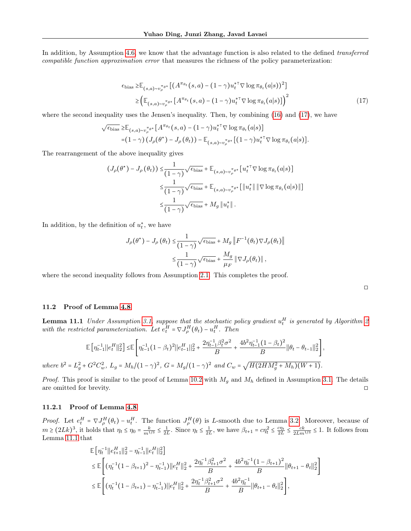In addition, by Assumption [4.6,](#page-6-2) we know that the advantage function is also related to the defined *transferred* compatible function approximation error that measures the richness of the policy parameterization:

$$
\epsilon_{\text{bias}} \geq \mathbb{E}_{(s,a)\sim v_{\rho}^{\pi_{\theta}*}} \left[ \left( A^{\pi_{\theta_t}}(s,a) - (1-\gamma) u_t^{*\top} \nabla \log \pi_{\theta_t}(a|s) \right)^2 \right] \\
\geq \left( \mathbb{E}_{(s,a)\sim v_{\rho}^{\pi_{\theta}*}} \left[ A^{\pi_{\theta_t}}(s,a) - (1-\gamma) u_t^{*\top} \nabla \log \pi_{\theta_t}(a|s) \right] \right)^2
$$
\n(17)

where the second inequality uses the Jensen's inequality. Then, by combining [\(16\)](#page-19-1) and [\(17\)](#page-20-1), we have

$$
\sqrt{\epsilon_{\text{bias}}} \geq \mathbb{E}_{(s,a)\sim v_{\rho}^{\pi_{\theta^*}}}[A^{\pi_{\theta_t}}(s,a) - (1-\gamma)u_t^{*\top} \nabla \log \pi_{\theta_t}(a|s)]
$$
  
= $(1-\gamma) (J_{\rho}(\theta^*) - J_{\rho}(\theta_t)) - \mathbb{E}_{(s,a)\sim v_{\rho}^{\pi_{\theta^*}}}[(1-\gamma)u_t^{*\top} \nabla \log \pi_{\theta_t}(a|s)].$ 

The rearrangement of the above inequality gives

$$
(J_{\rho}(\theta^*) - J_{\rho}(\theta_t)) \leq \frac{1}{(1-\gamma)} \sqrt{\epsilon_{\text{bias}}} + \mathbb{E}_{(s,a)\sim v_{\rho}^{\pi_{\theta^*}}}[u_t^{*\top} \nabla \log \pi_{\theta_t}(a|s)]
$$
  

$$
\leq \frac{1}{(1-\gamma)} \sqrt{\epsilon_{\text{bias}}} + \mathbb{E}_{(s,a)\sim v_{\rho}^{\pi_{\theta^*}}}[\|u_t^*\| \|\nabla \log \pi_{\theta_t}(a|s)\|]
$$
  

$$
\leq \frac{1}{(1-\gamma)} \sqrt{\epsilon_{\text{bias}}} + M_g \|u_t^*\|.
$$

In addition, by the definition of  $u_t^*$ , we have

$$
J_{\rho}(\theta^*) - J_{\rho}(\theta_t) \leq \frac{1}{(1-\gamma)} \sqrt{\epsilon_{\text{bias}}} + M_g \| F^{-1}(\theta_t) \nabla J_{\rho}(\theta_t) \|
$$
  

$$
\leq \frac{1}{(1-\gamma)} \sqrt{\epsilon_{\text{bias}}} + \frac{M_g}{\mu_F} \| \nabla J_{\rho}(\theta_t) \|,
$$

where the second inequality follows from Assumption [2.1.](#page-2-0) This completes the proof.

<span id="page-20-1"></span>

| - |  |
|---|--|
|   |  |

#### <span id="page-20-2"></span><span id="page-20-0"></span>11.2 Proof of Lemma [4.8](#page-7-2)

**Lemma 11.1** Under Assumption [3.1,](#page-3-0) suppose that the stochastic policy gradient  $u_t^H$  is generated by Algorithm [2](#page-6-3) with the restricted parameterization. Let  $e_t^H = \nabla J_{\rho}^H(\theta_t) - u_t^H$ . Then

$$
\mathbb{E}\left[\eta_{t-1}^{-1}\|e_t^H\|_2^2\right] \leq \mathbb{E}\left[\eta_{t-1}^{-1}(1-\beta_t)^2\|e_{t-1}^H\|_2^2 + \frac{2\eta_{t-1}^{-1}\beta_t^2\sigma^2}{B} + \frac{4b^2\eta_{t-1}^{-1}(1-\beta_t)^2}{B}\|\theta_t - \theta_{t-1}\|_2^2\right],
$$
  
where  $b^2 = L_g^2 + G^2 C_w^2$ ,  $L_g = M_h/(1-\gamma)^2$ ,  $G = M_g/(1-\gamma)^2$  and  $C_w = \sqrt{H(2HM_g^2 + M_h)(W+1)}$ .

*Proof.* This proof is similar to the proof of Lemma [10.2](#page-14-3) with  $M_g$  and  $M_h$  defined in Assumption [3.1.](#page-3-0) The details are omitted for brevity. □

#### 11.2.1 Proof of Lemma [4.8](#page-7-2)

*Proof.* Let  $e_t^H = \nabla J_{\rho}^H(\theta_t) - u_t^H$ . The function  $J_{\rho}^H(\theta)$  is L-smooth due to Lemma [3.2.](#page-3-3) Moreover, because of  $m \ge (2Lk)^3$ , it holds that  $\eta_t \le \eta_0 = \frac{k}{m^{1/3}} \le \frac{1}{2L}$ . Since  $\eta_t \le \frac{1}{2L}$ , we have  $\beta_{t+1} = c\eta_t^2 \le \frac{c\eta_t}{2L} \le \frac{ck}{2Lm^{1/3}} \le 1$ . It follows from Lemma [11.1](#page-20-2) that

$$
\mathbb{E}\left[\eta_t^{-1}||e_{t+1}^H||_2^2 - \eta_{t-1}^{-1}||e_t^H||_2^2\right] \n\leq \mathbb{E}\left[\left(\eta_t^{-1}(1-\beta_{t+1})^2 - \eta_{t-1}^{-1}\right)||e_t^H||_2^2 + \frac{2\eta_t^{-1}\beta_{t+1}^2\sigma^2}{B} + \frac{4b^2\eta_t^{-1}(1-\beta_{t+1})^2}{B}||\theta_{t+1} - \theta_t||_2^2\right] \n\leq \mathbb{E}\left[\left(\eta_t^{-1}(1-\beta_{t+1}) - \eta_{t-1}^{-1}\right)||e_t^H||_2^2 + \frac{2\eta_t^{-1}\beta_{t+1}^2\sigma^2}{B} + \frac{4b^2\eta_t^{-1}}{B}||\theta_{t+1} - \theta_t||_2^2\right],
$$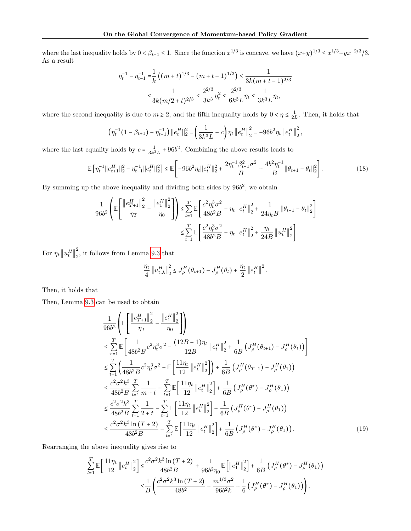where the last inequality holds by  $0 < \beta_{t+1} \leq 1$ . Since the function  $x^{1/3}$  is concave, we have  $(x+y)^{1/3} \leq x^{1/3} + yx^{-2/3}/3$ . As a result

$$
\begin{aligned} \eta_t^{-1} - \eta_{t-1}^{-1} &= \frac{1}{k} \left( \left( m + t \right)^{1/3} - \left( m + t - 1 \right)^{1/3} \right) \le \frac{1}{3k(m+t-1)^{2/3}} \\ &\le \frac{1}{3k(m/2+t)^{2/3}} \le \frac{2^{2/3}}{3k^3} \eta_t^2 \le \frac{2^{2/3}}{6k^3 L} \eta_t \le \frac{1}{3k^3 L} \eta_t, \end{aligned}
$$

where the second inequality is due to  $m \geq 2$ , and the fifth inequality holds by  $0 < \eta \leq \frac{1}{2L}$ . Then, it holds that

$$
\left(\eta_t^{-1}(1-\beta_{t+1})-\eta_{t-1}^{-1}\right) ||e_t^H||_2^2 = \left(\frac{1}{3k^3L}-c\right)\eta_t ||e_t^H||_2^2 = -96b^2\eta_t ||e_t^H||_2^2,
$$

where the last equality holds by  $c = \frac{1}{3k^3L} + 96b^2$ . Combining the above results leads to

$$
\mathbb{E}\left[\eta_t^{-1}||e_{t+1}^H||_2^2 - \eta_{t-1}^{-1}||e_t^H||_2^2\right] \le \mathbb{E}\left[-96b^2\eta_t||e_t^H||_2^2 + \frac{2\eta_t^{-1}\beta_{t+1}^2\sigma^2}{B} + \frac{4b^2\eta_t^{-1}}{B}||\theta_{t+1} - \theta_t||_2^2\right].\tag{18}
$$

By summing up the above inequality and dividing both sides by  $96b^2$ , we obtain

$$
\begin{split} \frac{1}{96 b^2}\left(\mathbb{E}\left[\frac{\left\|e_{T+1}^H\right\|_2^2}{\eta_T}-\frac{\left\|e_{1}^H\right\|_2^2}{\eta_0}\right]\right)\leq & \sum_{t=1}^T \mathbb{E}\left[\frac{c^2 \eta_t^3 \sigma^2}{48 b^2 B}-\eta_t\left\|e_t^H\right\|_2^2+\frac{1}{24 \eta_t B}\left\|\theta_{t+1}-\theta_t\right\|_2^2\right]\\ \leq & \sum_{t=1}^T \mathbb{E}\left[\frac{c^2 \eta_t^3 \sigma^2}{48 b^2 B}-\eta_t\left\|e_t^H\right\|_2^2+\frac{\eta_t}{24 B}\left\|u_t^H\right\|_2^2\right]. \end{split}
$$

For  $\eta_t \left\| u_t^H \right\|_2^2$  $\frac{2}{2}$ , it follows from Lemma [9.3](#page-12-4) that

<span id="page-21-0"></span>
$$
\frac{\eta_t}{4} \left\| u_{t,\lambda}^H \right\|_2^2 \leq J_\rho^H \left( \theta_{t+1} \right) - J_\rho^H \left( \theta_t \right) + \frac{\eta_t}{2} \left\| e_t^H \right\|^2.
$$

Then, it holds that

Then, Lemma [9.3](#page-12-4) can be used to obtain

$$
\frac{1}{96b^2} \left( \mathbb{E} \left[ \frac{\left\| e_{T+1}^H \right\|_2^2}{\eta_T} - \frac{\left\| e_1^H \right\|_2^2}{\eta_0} \right] \right) \n\leq \sum_{\tau=1}^T \mathbb{E} \left[ \frac{1}{48b^2B} c^2 \eta_t^3 \sigma^2 - \frac{(12B - 1)\eta_t}{12B} \left\| e_t^H \right\|_2^2 + \frac{1}{6B} \left( J_\rho^H (\theta_{t+1}) - J_\rho^H (\theta_t) \right) \right] \n\leq \sum_{t=1}^T \left( \frac{1}{48b^2B} c^2 \eta_t^3 \sigma^2 - \mathbb{E} \left[ \frac{11\eta_t}{12} \left\| e_t^H \right\|_2^2 \right] \right) + \frac{1}{6B} \left( J_\rho^H (\theta_{T+1}) - J_\rho^H (\theta_1) \right) \n\leq \frac{c^2 \sigma^2 k^3}{48b^2B} \sum_{t=1}^T \frac{1}{m+t} - \sum_{t=1}^T \mathbb{E} \left[ \frac{11\eta_t}{12} \left\| e_t^H \right\|_2^2 \right] + \frac{1}{6B} \left( J_\rho^H (\theta^*) - J_\rho^H (\theta_1) \right) \n\leq \frac{c^2 \sigma^2 k^3}{48b^2B} \sum_{t=1}^T \frac{1}{2+t} - \sum_{t=1}^T \mathbb{E} \left[ \frac{11\eta_t}{12} \left\| e_t^H \right\|_2^2 \right] + \frac{1}{6B} \left( J_\rho^H (\theta^*) - J_\rho^H (\theta_1) \right) \n\leq \frac{c^2 \sigma^2 k^3 \ln (T+2)}{48b^2B} - \sum_{t=1}^T \mathbb{E} \left[ \frac{11\eta_t}{12} \left\| e_t^H \right\|_2^2 \right] + \frac{1}{6B} \left( J_\rho^H (\theta^*) - J_\rho^H (\theta_1) \right).
$$
\n(19)

Rearranging the above inequality gives rise to

$$
\sum_{t=1}^{T} \mathbb{E} \left[ \frac{11 \eta_{t}}{12} \left\| e_{t}^{H} \right\|_{2}^{2} \right] \leq \frac{c^{2} \sigma^{2} k^{3} \ln \left( T+2 \right)}{48 b^{2} B} + \frac{1}{96 b^{2} \eta_{0}} \mathbb{E} \left[ \left\| e_{1}^{H} \right\|_{2}^{2} \right] + \frac{1}{6 B} \left( J_{\rho}^{H} \left( \theta^{*} \right) - J_{\rho}^{H} \left( \theta_{1} \right) \right) \n\leq \frac{1}{B} \left( \frac{c^{2} \sigma^{2} k^{3} \ln \left( T+2 \right)}{48 b^{2}} + \frac{m^{1/3} \sigma^{2}}{96 b^{2} k} + \frac{1}{6} \left( J_{\rho}^{H} \left( \theta^{*} \right) - J_{\rho}^{H} \left( \theta_{1} \right) \right) \right).
$$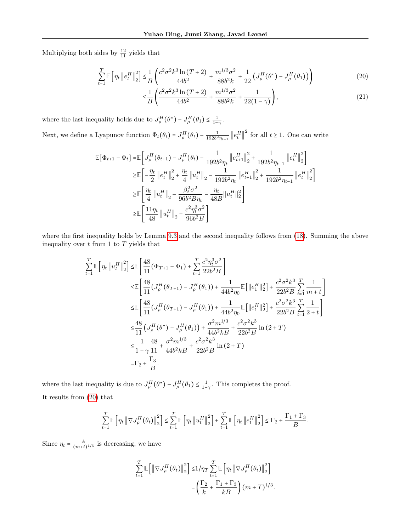Multiplying both sides by  $\frac{12}{11}$  yields that

$$
\sum_{t=1}^{T} \mathbb{E}\left[\eta_t \left\| e_t^H \right\|_2^2 \right] \le \frac{1}{B} \left( \frac{c^2 \sigma^2 k^3 \ln(T+2)}{44b^2} + \frac{m^{1/3} \sigma^2}{88b^2 k} + \frac{1}{22} \left( J^H_\rho(\theta^*) - J^H_\rho(\theta_1) \right) \right) \tag{20}
$$

<span id="page-22-0"></span>
$$
\leq \frac{1}{B} \left( \frac{c^2 \sigma^2 k^3 \ln(T+2)}{44b^2} + \frac{m^{1/3} \sigma^2}{88b^2 k} + \frac{1}{22(1-\gamma)} \right),\tag{21}
$$

where the last inequality holds due to  $J_{\rho}^{H}(\theta^*) - J_{\rho}^{H}(\theta_1) \leq \frac{1}{1-\gamma}$ .

Next, we define a Lyapunov function  $\Phi_t(\theta_t) = J_\rho^H(\theta_t) - \frac{1}{192b^2\eta_{t-1}} \left\| e_t^H \right\|^2$  for all  $t \ge 1$ . One can write

$$
\begin{split} \mathbb{E}[\Phi_{t+1} - \Phi_t] = & \mathbb{E}\left[J^H_{\rho}(\theta_{t+1}) - J^H_{\rho}(\theta_t) - \frac{1}{192b^2\eta_t}\left\|e^H_{t+1}\right\|_2^2 + \frac{1}{192b^2\eta_{t-1}}\left\|e^H_t\right\|_2^2\right] \\ \geq & \mathbb{E}\left[-\frac{\eta_t}{2}\left\|e^H_t\right\|_2^2 + \frac{\eta_t}{4}\left\|u^H_t\right\|_2 - \frac{1}{192b^2\eta_t}\left\|e^H_{t+1}\right\|_2^2 + \frac{1}{192b^2\eta_{t-1}}\left\|e^H_t\right\|_2^2\right] \\ \geq & \mathbb{E}\left[\frac{\eta_t}{4}\left\|u^H_t\right\|_2 - \frac{\beta_t^2\sigma^2}{96b^2B\eta_t} - \frac{\eta_t}{48B}\|u^H_t\|_2^2\right] \\ \geq & \mathbb{E}\left[\frac{11\eta_t}{48}\left\|u^H_t\right\|_2 - \frac{c^2\eta_t^3\sigma^2}{96b^2B}\right] \end{split}
$$

where the first inequality holds by Lemma [9.3](#page-12-4) and the second inequality follows from [\(18\)](#page-21-0). Summing the above inequality over  $t$  from 1 to  $T$  yields that

$$
\sum_{t=1}^{T} \mathbb{E} \left[ \eta_t \left\| u_t^H \right\|_2^2 \right] \leq \mathbb{E} \left[ \frac{48}{11} (\Phi_{T+1} - \Phi_1) + \sum_{t=1}^{T} \frac{c^2 \eta_t^3 \sigma^2}{22b^2 B} \right]
$$
\n
$$
\leq \mathbb{E} \left[ \frac{48}{11} (J^H_\rho (\theta_{T+1}) - J^H_\rho (\theta_1)) + \frac{1}{44b^2 \eta_0} \mathbb{E} \left[ ||e_1^H ||_2^2 \right] + \frac{c^2 \sigma^2 k^3}{22b^2 B} \sum_{t=1}^{T} \frac{1}{m+t} \right]
$$
\n
$$
\leq \mathbb{E} \left[ \frac{48}{11} (J^H_\rho (\theta_{T+1}) - J^H_\rho (\theta_1)) + \frac{1}{44b^2 \eta_0} \mathbb{E} \left[ ||e_1^H ||_2^2 \right] + \frac{c^2 \sigma^2 k^3}{22b^2 B} \sum_{t=1}^{T} \frac{1}{2+t} \right]
$$
\n
$$
\leq \frac{48}{11} (J^H_\rho (\theta^*) - J^H_\rho (\theta_1)) + \frac{\sigma^2 m^{1/3}}{44b^2 k B} + \frac{c^2 \sigma^2 k^3}{22b^2 B} \ln (2+T)
$$
\n
$$
\leq \frac{1}{1-\gamma} \frac{48}{11} + \frac{\sigma^2 m^{1/3}}{44b^2 k B} + \frac{c^2 \sigma^2 k^3}{22b^2 B} \ln (2+T)
$$
\n
$$
= \Gamma_2 + \frac{\Gamma_3}{B}.
$$

where the last inequality is due to  $J^H_\rho(\theta^*) - J^H_\rho(\theta_1) \leq \frac{1}{1-\gamma}$ . This completes the proof. It results from [\(20\)](#page-22-0) that

$$
\sum_{t=1}^{T} \mathbb{E}\left[\eta_t \left\|\nabla J_{\rho}^H(\theta_t)\right\|_{2}^{2}\right] \leq \sum_{t=1}^{T} \mathbb{E}\left[\eta_t \left\|u_t^H\right\|_{2}^{2}\right] + \sum_{t=1}^{T} \mathbb{E}\left[\eta_t \left\|e_t^H\right\|_{2}^{2}\right] \leq \Gamma_2 + \frac{\Gamma_1 + \Gamma_3}{B}.
$$

Since  $\eta_t = \frac{k}{(m+t)^{1/3}}$  is decreasing, we have

$$
\sum_{t=1}^{T} \mathbb{E}\left[\left\|\nabla J_{\rho}^{H}(\theta_{t})\right\|_{2}^{2}\right] \leq 1/\eta_{T} \sum_{t=1}^{T} \mathbb{E}\left[\eta_{t} \left\|\nabla J_{\rho}^{H}(\theta_{t})\right\|_{2}^{2}\right]
$$

$$
= \left(\frac{\Gamma_{2}}{k} + \frac{\Gamma_{1} + \Gamma_{3}}{kB}\right)(m+T)^{1/3}.
$$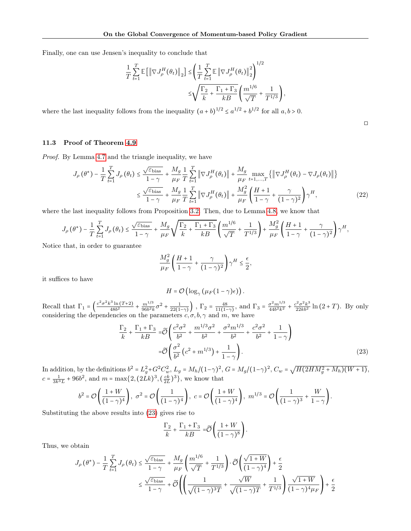Finally, one can use Jensen's inequality to conclude that

$$
\begin{split} \frac{1}{T}\sum_{t=1}^T\mathbb{E}\left[\left\|\nabla J^H_{\rho}(\theta_t)\right\|_2\right] &\leq \left(\frac{1}{T}\sum_{t=1}^T\mathbb{E}\left\|\nabla J^H_{\rho}(\theta_t)\right\|_2^2\right)^{1/2}\\ &\leq \sqrt{\frac{\Gamma_2}{k}+\frac{\Gamma_1+\Gamma_3}{kB}}\left(\frac{m^{1/6}}{\sqrt{T}}+\frac{1}{T^{1/3}}\right), \end{split}
$$

where the last inequality follows from the inequality  $(a + b)^{1/2} \le a^{1/2} + b^{1/2}$  for all  $a, b > 0$ .

◻

### <span id="page-23-0"></span>11.3 Proof of Theorem [4.9](#page-7-3)

Proof. By Lemma [4.7](#page-7-0) and the triangle inequality, we have

$$
J_{\rho}(\theta^{*}) - \frac{1}{T} \sum_{t=1}^{T} J_{\rho}(\theta_{t}) \leq \frac{\sqrt{\varepsilon_{\text{bias}}}}{1-\gamma} + \frac{M_{g}}{\mu_{F}} \frac{1}{T} \sum_{t=1}^{T} \left\| \nabla J_{\rho}^{H}(\theta_{t}) \right\| + \frac{M_{g}}{\mu_{F}} \max_{t=1,...,T} \left\{ \left\| \nabla J_{\rho}^{H}(\theta_{t}) - \nabla J_{\rho}(\theta_{t}) \right\| \right\}
$$

$$
\leq \frac{\sqrt{\varepsilon_{\text{bias}}}}{1-\gamma} + \frac{M_{g}}{\mu_{F}} \frac{1}{T} \sum_{t=1}^{T} \left\| \nabla J_{\rho}^{H}(\theta_{t}) \right\| + \frac{M_{g}^{2}}{\mu_{F}} \left( \frac{H+1}{1-\gamma} + \frac{\gamma}{(1-\gamma)^{2}} \right) \gamma^{H}, \tag{22}
$$

where the last inequality follows from Proposition [3.2.](#page-3-3) Then, due to Lemma [4.8,](#page-7-2) we know that

$$
J_{\rho}\left(\theta^{*}\right)-\frac{1}{T}\sum_{t=1}^{T}J_{\rho}\left(\theta_{t}\right)\leq\frac{\sqrt{\varepsilon_{\text{bias}}}}{1-\gamma}+\frac{M_{g}}{\mu_{F}}\sqrt{\frac{\Gamma_{2}}{k}+\frac{\Gamma_{1}+\Gamma_{3}}{kB}}\left(\frac{m^{1/6}}{\sqrt{T}}+\frac{1}{T^{1/3}}\right)+\frac{M_{g}^{2}}{\mu_{F}}\left(\frac{H+1}{1-\gamma}+\frac{\gamma}{(1-\gamma)^{2}}\right)\gamma^{H},
$$

Notice that, in order to guarantee

$$
\frac{M_g^2}{\mu_F} \left( \frac{H+1}{1-\gamma} + \frac{\gamma}{(1-\gamma)^2} \right) \gamma^H \le \frac{\epsilon}{2},
$$

it suffices to have

<span id="page-23-1"></span>
$$
H = \mathcal{O}\left(\log_{\gamma}\left(\mu_F(1-\gamma)\epsilon\right)\right).
$$

Recall that  $\Gamma_1 = \left(\frac{c^2 \sigma^2 k^3 \ln(T+2)}{48b^2} + \frac{m^{1/3}}{96b^2 k} \sigma^2 + \frac{1}{22(1-\gamma)}\right)$ ,  $\Gamma_2 = \frac{48}{11(1-\gamma)}$ , and  $\Gamma_3 = \frac{\sigma^2 m^{1/3}}{44b^2 k^2} + \frac{c^2 \sigma^2 k^3}{22kb^2} \ln(2+T)$ . By only considering the dependencies on the parameters  $c, \sigma, b, \gamma$  and m, we have

$$
\frac{\Gamma_2}{k} + \frac{\Gamma_1 + \Gamma_3}{k} = \widetilde{\mathcal{O}} \left( \frac{c^2 \sigma^2}{b^2} + \frac{m^{1/3} \sigma^2}{b^2} + \frac{\sigma^2 m^{1/3}}{b^2} + \frac{c^2 \sigma^2}{b^2} + \frac{1}{1 - \gamma} \right)
$$
  
=  $\widetilde{\mathcal{O}} \left( \frac{\sigma^2}{b^2} \left( c^2 + m^{1/3} \right) + \frac{1}{1 - \gamma} \right).$  (23)

In addition, by the definitions  $b^2 = L_g^2 + G^2 C_w^2$ ,  $L_g = M_h/(1-\gamma)^2$ ,  $G = M_g/(1-\gamma)^2$ ,  $C_w = \sqrt{H(2HM_g^2 + M_h)(W+1)}$ ,  $c = \frac{1}{3k^3L} + 96b^2$ , and  $m = \max\{2, (2Lk)^3, (\frac{ck}{2L})^3\}$ , we know that

$$
b^2 = \mathcal{O}\left(\frac{1+W}{(1-\gamma)^4}\right), \ \sigma^2 = \mathcal{O}\left(\frac{1}{(1-\gamma)^4}\right), \ c = \mathcal{O}\left(\frac{1+W}{(1-\gamma)^4}\right), \ m^{1/3} = \mathcal{O}\left(\frac{1}{(1-\gamma)^3} + \frac{W}{1-\gamma}\right).
$$

Substituting the above results into [\(23\)](#page-23-1) gives rise to

$$
\frac{\Gamma_2}{k} + \frac{\Gamma_1 + \Gamma_3}{kB} = \widetilde{\mathcal{O}}\left(\frac{1+W}{(1-\gamma)^8}\right).
$$

Thus, we obtain

$$
\begin{split} J_{\rho}\left(\theta^{*}\right)-\frac{1}{T}\sum_{t=1}^{T}J_{\rho}\left(\theta_{t}\right) & \leq \frac{\sqrt{\varepsilon_{\text{bias}}}}{1-\gamma}+\frac{M_{g}}{\mu_{F}}\left(\frac{m^{1/6}}{\sqrt{T}}+\frac{1}{T^{1/3}}\right)\cdot\widetilde{\mathcal{O}}\left(\frac{\sqrt{1+W}}{(1-\gamma)^{4}}\right)+\frac{\epsilon}{2} \\ & \leq \frac{\sqrt{\varepsilon_{\text{bias}}}}{1-\gamma}+\widetilde{\mathcal{O}}\left(\left(\frac{1}{\sqrt{(1-\gamma)^{3}T}}+\frac{\sqrt{W}}{\sqrt{(1-\gamma)T}}+\frac{1}{T^{1/3}}\right)\frac{\sqrt{1+W}}{(1-\gamma)^{4}\mu_{F}}\right)+\frac{\epsilon}{2} \end{split}
$$